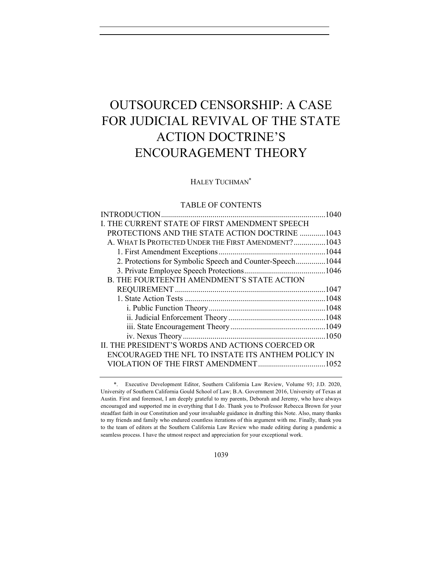# OUTSOURCED CENSORSHIP: A CASE FOR JUDICIAL REVIVAL OF THE STATE ACTION DOCTRINE'S ENCOURAGEMENT THEORY

# HALEY TUCHMAN\*

# TABLE OF CONTENTS

|                                                           | 1040 |
|-----------------------------------------------------------|------|
| I. THE CURRENT STATE OF FIRST AMENDMENT SPEECH            |      |
| <b>PROTECTIONS AND THE STATE ACTION DOCTRINE 1043</b>     |      |
| A. WHAT IS PROTECTED UNDER THE FIRST AMENDMENT?1043       |      |
|                                                           |      |
| 2. Protections for Symbolic Speech and Counter-Speech1044 |      |
|                                                           |      |
| <b>B. THE FOURTEENTH AMENDMENT'S STATE ACTION</b>         |      |
|                                                           |      |
|                                                           |      |
|                                                           |      |
|                                                           |      |
|                                                           |      |
|                                                           |      |
| II. THE PRESIDENT'S WORDS AND ACTIONS COERCED OR          |      |
| ENCOURAGED THE NFL TO INSTATE ITS ANTHEM POLICY IN        |      |
|                                                           |      |
|                                                           |      |

<sup>\*.</sup> Executive Development Editor, Southern California Law Review, Volume 93; J.D. 2020, University of Southern California Gould School of Law; B.A. Government 2016, University of Texas at Austin. First and foremost, I am deeply grateful to my parents, Deborah and Jeremy, who have always encouraged and supported me in everything that I do. Thank you to Professor Rebecca Brown for your steadfast faith in our Constitution and your invaluable guidance in drafting this Note. Also, many thanks to my friends and family who endured countless iterations of this argument with me. Finally, thank you to the team of editors at the Southern California Law Review who made editing during a pandemic a seamless process. I have the utmost respect and appreciation for your exceptional work.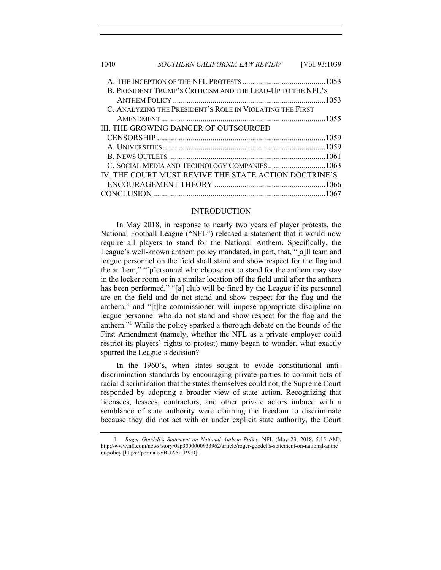| 1040                                                        | <i>SOUTHERN CALIFORNIA LAW REVIEW</i>        | [Vol. 93:1039] |  |
|-------------------------------------------------------------|----------------------------------------------|----------------|--|
|                                                             |                                              |                |  |
| B. PRESIDENT TRUMP'S CRITICISM AND THE LEAD-UP TO THE NFL'S |                                              |                |  |
|                                                             |                                              |                |  |
| C. ANALYZING THE PRESIDENT'S ROLE IN VIOLATING THE FIRST    |                                              |                |  |
|                                                             |                                              |                |  |
|                                                             | <b>III. THE GROWING DANGER OF OUTSOURCED</b> |                |  |
|                                                             |                                              |                |  |
|                                                             |                                              |                |  |
|                                                             |                                              |                |  |
|                                                             | C. SOCIAL MEDIA AND TECHNOLOGY COMPANIES1063 |                |  |
| IV. THE COURT MUST REVIVE THE STATE ACTION DOCTRINE'S       |                                              |                |  |
|                                                             |                                              |                |  |

#### INTRODUCTION

CONCLUSION .......................................................................................1067

In May 2018, in response to nearly two years of player protests, the National Football League ("NFL") released a statement that it would now require all players to stand for the National Anthem. Specifically, the League's well-known anthem policy mandated, in part, that, "[a]ll team and league personnel on the field shall stand and show respect for the flag and the anthem," "[p]ersonnel who choose not to stand for the anthem may stay in the locker room or in a similar location off the field until after the anthem has been performed," "[a] club will be fined by the League if its personnel are on the field and do not stand and show respect for the flag and the anthem," and "[t]he commissioner will impose appropriate discipline on league personnel who do not stand and show respect for the flag and the anthem."<sup>1</sup> While the policy sparked a thorough debate on the bounds of the First Amendment (namely, whether the NFL as a private employer could restrict its players' rights to protest) many began to wonder, what exactly spurred the League's decision?

In the 1960's, when states sought to evade constitutional antidiscrimination standards by encouraging private parties to commit acts of racial discrimination that the states themselves could not, the Supreme Court responded by adopting a broader view of state action. Recognizing that licensees, lessees, contractors, and other private actors imbued with a semblance of state authority were claiming the freedom to discriminate because they did not act with or under explicit state authority, the Court

<sup>1</sup>*. Roger Goodell's Statement on National Anthem Policy*, NFL (May 23, 2018, 5:15 AM), http://www.nfl.com/news/story/0ap3000000933962/article/roger-goodells-statement-on-national-anthe m-policy [https://perma.cc/BUA5-TPVD].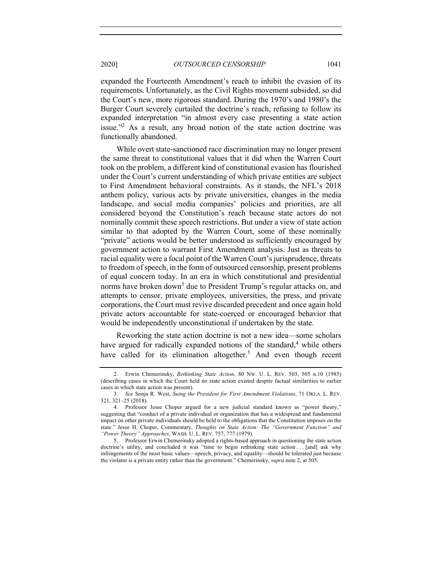expanded the Fourteenth Amendment's reach to inhibit the evasion of its requirements. Unfortunately, as the Civil Rights movement subsided, so did the Court's new, more rigorous standard. During the 1970's and 1980's the Burger Court severely curtailed the doctrine's reach, refusing to follow its expanded interpretation "in almost every case presenting a state action issue."2 As a result, any broad notion of the state action doctrine was functionally abandoned.

While overt state-sanctioned race discrimination may no longer present the same threat to constitutional values that it did when the Warren Court took on the problem, a different kind of constitutional evasion has flourished under the Court's current understanding of which private entities are subject to First Amendment behavioral constraints. As it stands, the NFL's 2018 anthem policy, various acts by private universities, changes in the media landscape, and social media companies' policies and priorities, are all considered beyond the Constitution's reach because state actors do not nominally commit these speech restrictions. But under a view of state action similar to that adopted by the Warren Court, some of these nominally "private" actions would be better understood as sufficiently encouraged by government action to warrant First Amendment analysis. Just as threats to racial equality were a focal point of the Warren Court's jurisprudence, threats to freedom of speech, in the form of outsourced censorship, present problems of equal concern today. In an era in which constitutional and presidential norms have broken down<sup>3</sup> due to President Trump's regular attacks on, and attempts to censor, private employees, universities, the press, and private corporations, the Court must revive discarded precedent and once again hold private actors accountable for state-coerced or encouraged behavior that would be independently unconstitutional if undertaken by the state.

Reworking the state action doctrine is not a new idea—some scholars have argued for radically expanded notions of the standard, $4$  while others have called for its elimination altogether.<sup>5</sup> And even though recent

<sup>2.</sup> Erwin Chemerinsky, *Rethinking State Action*, 80 NW. U. L. REV. 503, 505 n.10 (1985) (describing cases in which the Court held no state action existed despite factual similarities to earlier cases in which state action was present).

<sup>3</sup>*. See* Sonja R. West, *Suing the President for First Amendment Violations*, 71 OKLA. L. REV. 321, 321–25 (2018).

<sup>4.</sup> Professor Jesse Choper argued for a new judicial standard known as "power theory," suggesting that "conduct of a private individual or organization that has a widespread and fundamental impact on other private individuals should be held to the obligations that the Constitution imposes on the state." Jesse H. Choper, Commentary, *Thoughts on State Action: The "Government Function" and "Power Theory" Approaches*, WASH. U. L. REV. 757, 777 (1979).

<sup>5.</sup> Professor Erwin Chemerinsky adopted a rights-based approach in questioning the state action doctrine's utility, and concluded it was "time to begin rethinking state action . . . [and] ask why infringements of the most basic values—speech, privacy, and equality—should be tolerated just because the violator is a private entity rather than the government." Chemerinsky, *supra* note 2, at 505.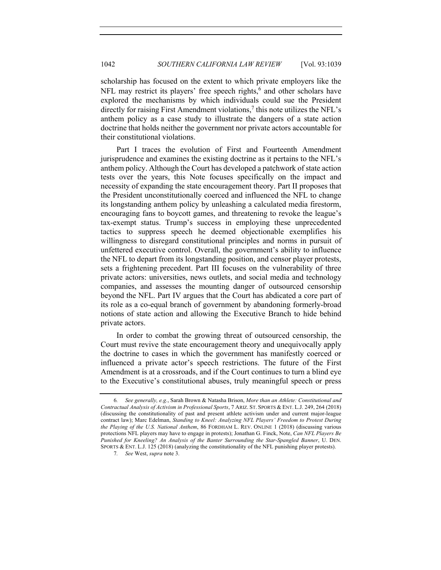scholarship has focused on the extent to which private employers like the NFL may restrict its players' free speech rights, $6$  and other scholars have explored the mechanisms by which individuals could sue the President directly for raising First Amendment violations, $\lambda$  this note utilizes the NFL's anthem policy as a case study to illustrate the dangers of a state action doctrine that holds neither the government nor private actors accountable for their constitutional violations.

Part I traces the evolution of First and Fourteenth Amendment jurisprudence and examines the existing doctrine as it pertains to the NFL's anthem policy. Although the Court has developed a patchwork of state action tests over the years, this Note focuses specifically on the impact and necessity of expanding the state encouragement theory. Part II proposes that the President unconstitutionally coerced and influenced the NFL to change its longstanding anthem policy by unleashing a calculated media firestorm, encouraging fans to boycott games, and threatening to revoke the league's tax-exempt status. Trump's success in employing these unprecedented tactics to suppress speech he deemed objectionable exemplifies his willingness to disregard constitutional principles and norms in pursuit of unfettered executive control. Overall, the government's ability to influence the NFL to depart from its longstanding position, and censor player protests, sets a frightening precedent. Part III focuses on the vulnerability of three private actors: universities, news outlets, and social media and technology companies, and assesses the mounting danger of outsourced censorship beyond the NFL. Part IV argues that the Court has abdicated a core part of its role as a co-equal branch of government by abandoning formerly-broad notions of state action and allowing the Executive Branch to hide behind private actors.

In order to combat the growing threat of outsourced censorship, the Court must revive the state encouragement theory and unequivocally apply the doctrine to cases in which the government has manifestly coerced or influenced a private actor's speech restrictions. The future of the First Amendment is at a crossroads, and if the Court continues to turn a blind eye to the Executive's constitutional abuses, truly meaningful speech or press

<sup>6</sup>*. See generally, e.g.*, Sarah Brown & Natasha Brison, *More than an Athlete: Constitutional and Contractual Analysis of Activism in Professional Sports*, 7 ARIZ. ST. SPORTS & ENT. L.J. 249, 264 (2018) (discussing the constitutionality of past and present athlete activism under and current major-league contract law); Marc Edelman, *Standing to Kneel: Analyzing NFL Players' Freedom to Protest During the Playing of the U.S. National Anthem*, 86 FORDHAM L. REV. ONLINE 1 (2018) (discussing various protections NFL players may have to engage in protests); Jonathan G. Finck, Note, *Can NFL Players Be Punished for Kneeling? An Analysis of the Banter Surrounding the Star-Spangled Banner*, U. DEN. SPORTS & ENT. L.J. 125 (2018) (analyzing the constitutionality of the NFL punishing player protests).

<sup>7</sup>*. See* West, *supra* note 3.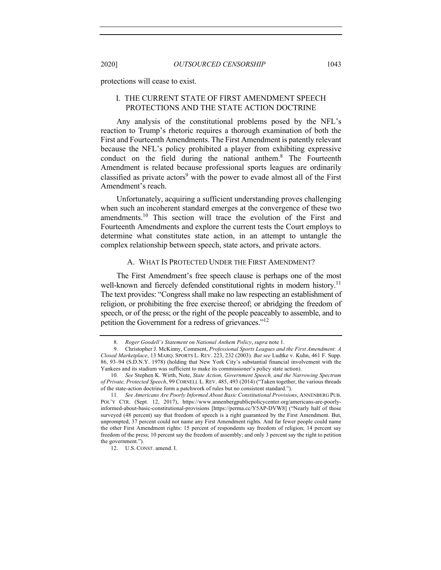protections will cease to exist.

# I. THE CURRENT STATE OF FIRST AMENDMENT SPEECH PROTECTIONS AND THE STATE ACTION DOCTRINE

Any analysis of the constitutional problems posed by the NFL's reaction to Trump's rhetoric requires a thorough examination of both the First and Fourteenth Amendments. The First Amendment is patently relevant because the NFL's policy prohibited a player from exhibiting expressive conduct on the field during the national anthem.8 The Fourteenth Amendment is related because professional sports leagues are ordinarily classified as private actors<sup>9</sup> with the power to evade almost all of the First Amendment's reach.

Unfortunately, acquiring a sufficient understanding proves challenging when such an incoherent standard emerges at the convergence of these two amendments.<sup>10</sup> This section will trace the evolution of the First and Fourteenth Amendments and explore the current tests the Court employs to determine what constitutes state action, in an attempt to untangle the complex relationship between speech, state actors, and private actors.

### A. WHAT IS PROTECTED UNDER THE FIRST AMENDMENT?

The First Amendment's free speech clause is perhaps one of the most well-known and fiercely defended constitutional rights in modern history.<sup>11</sup> The text provides: "Congress shall make no law respecting an establishment of religion, or prohibiting the free exercise thereof; or abridging the freedom of speech, or of the press; or the right of the people peaceably to assemble, and to petition the Government for a redress of grievances."12

<sup>8.</sup> *Roger Goodell's Statement on National Anthem Policy*, *supra* note 1.

<sup>9.</sup> Christopher J. McKinny, Comment, *Professional Sports Leagues and the First Amendment: A Closed Marketplace*, 13 MARQ. SPORTS L. REV. 223, 232 (2003). *But see* Ludtke v. Kuhn, 461 F. Supp. 86, 93–94 (S.D.N.Y. 1978) (holding that New York City's substantial financial involvement with the Yankees and its stadium was sufficient to make its commissioner's policy state action).

<sup>10</sup>*. See* Stephen K. Wirth, Note, *State Action, Government Speech, and the Narrowing Spectrum of Private, Protected Speech*, 99 CORNELL L. REV. 485, 493 (2014) ("Taken together, the various threads of the state-action doctrine form a patchwork of rules but no consistent standard.").

<sup>11</sup>*. See Americans Are Poorly Informed About Basic Constitutional Provisions*, ANNENBERG PUB. POL'Y CTR. (Sept. 12, 2017), https://www.annenbergpublicpolicycenter.org/americans-are-poorlyinformed-about-basic-constitutional-provisions [https://perma.cc/Y5AP-DVW8] ("Nearly half of those surveyed (48 percent) say that freedom of speech is a right guaranteed by the First Amendment. But, unprompted, 37 percent could not name any First Amendment rights. And far fewer people could name the other First Amendment rights: 15 percent of respondents say freedom of religion; 14 percent say freedom of the press; 10 percent say the freedom of assembly; and only 3 percent say the right to petition the government.").

<sup>12.</sup> U.S. CONST. amend. I.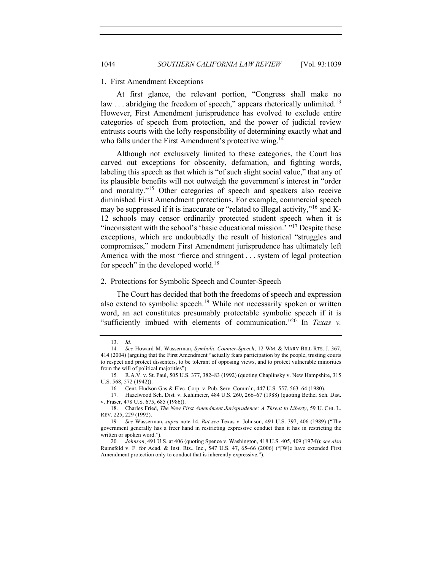#### 1. First Amendment Exceptions

At first glance, the relevant portion, "Congress shall make no law  $\ldots$  abridging the freedom of speech," appears rhetorically unlimited.<sup>13</sup> However, First Amendment jurisprudence has evolved to exclude entire categories of speech from protection, and the power of judicial review entrusts courts with the lofty responsibility of determining exactly what and who falls under the First Amendment's protective wing.<sup>14</sup>

Although not exclusively limited to these categories, the Court has carved out exceptions for obscenity, defamation, and fighting words, labeling this speech as that which is "of such slight social value," that any of its plausible benefits will not outweigh the government's interest in "order and morality."15 Other categories of speech and speakers also receive diminished First Amendment protections. For example, commercial speech may be suppressed if it is inaccurate or "related to illegal activity,"<sup>16</sup> and K-12 schools may censor ordinarily protected student speech when it is "inconsistent with the school's 'basic educational mission.' "<sup>17</sup> Despite these exceptions, which are undoubtedly the result of historical "struggles and compromises," modern First Amendment jurisprudence has ultimately left America with the most "fierce and stringent . . . system of legal protection for speech" in the developed world.<sup>18</sup>

# 2. Protections for Symbolic Speech and Counter-Speech

The Court has decided that both the freedoms of speech and expression also extend to symbolic speech.<sup>19</sup> While not necessarily spoken or written word, an act constitutes presumably protectable symbolic speech if it is "sufficiently imbued with elements of communication."20 In *Texas v.* 

<sup>13.</sup> *Id.*

<sup>14</sup>*. See* Howard M. Wasserman, *Symbolic Counter-Speech*, 12 WM. & MARY BILL RTS. J. 367, 414 (2004) (arguing that the First Amendment "actually fears participation by the people, trusting courts to respect and protect dissenters, to be tolerant of opposing views, and to protect vulnerable minorities from the will of political majorities").

<sup>15</sup>*.* R.A.V. v. St. Paul, 505 U.S. 377, 382–83 (1992) (quoting Chaplinsky v. New Hampshire, 315 U.S. 568, 572 (1942)).

<sup>16</sup>*.* Cent. Hudson Gas & Elec. Corp. v. Pub. Serv. Comm'n, 447 U.S. 557, 563–64 (1980).

<sup>17</sup>*.* Hazelwood Sch. Dist. v. Kuhlmeier, 484 U.S. 260, 266–67 (1988) (quoting Bethel Sch. Dist. v. Fraser, 478 U.S. 675, 685 (1986)).

<sup>18.</sup> Charles Fried, *The New First Amendment Jurisprudence: A Threat to Liberty*, 59 U. CHI. L. REV. 225, 229 (1992).

<sup>19</sup>*. See* Wasserman, *supra* note 14. *But see* Texas v. Johnson, 491 U.S. 397, 406 (1989) ("The government generally has a freer hand in restricting expressive conduct than it has in restricting the written or spoken word.").

<sup>20</sup>*. Johnson*, 491 U.S. at 406 (quoting Spence v. Washington, 418 U.S. 405, 409 (1974)); *see also*  Rumsfeld v. F. for Acad. & Inst. Rts., Inc., 547 U.S. 47, 65–66 (2006) ("[W]e have extended First Amendment protection only to conduct that is inherently expressive.").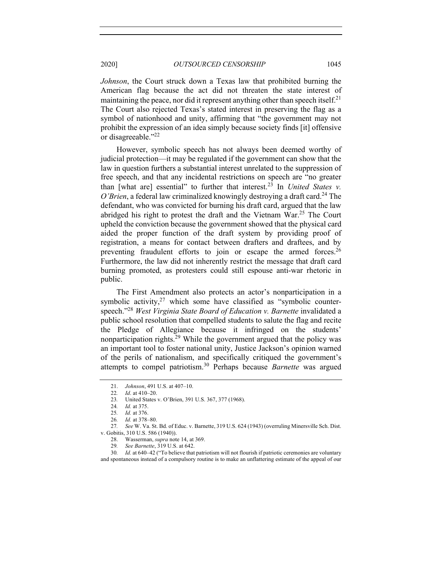*Johnson*, the Court struck down a Texas law that prohibited burning the American flag because the act did not threaten the state interest of maintaining the peace, nor did it represent anything other than speech itself.<sup>21</sup> The Court also rejected Texas's stated interest in preserving the flag as a symbol of nationhood and unity, affirming that "the government may not prohibit the expression of an idea simply because society finds [it] offensive or disagreeable."<sup>22</sup>

However, symbolic speech has not always been deemed worthy of judicial protection—it may be regulated if the government can show that the law in question furthers a substantial interest unrelated to the suppression of free speech, and that any incidental restrictions on speech are "no greater than [what are] essential" to further that interest.<sup>23</sup> In *United States v. O'Brien*, a federal law criminalized knowingly destroying a draft card.<sup>24</sup> The defendant, who was convicted for burning his draft card, argued that the law abridged his right to protest the draft and the Vietnam War.<sup>25</sup> The Court upheld the conviction because the government showed that the physical card aided the proper function of the draft system by providing proof of registration, a means for contact between drafters and draftees, and by preventing fraudulent efforts to join or escape the armed forces.<sup>26</sup> Furthermore, the law did not inherently restrict the message that draft card burning promoted, as protesters could still espouse anti-war rhetoric in public.

The First Amendment also protects an actor's nonparticipation in a symbolic activity, $27$  which some have classified as "symbolic counterspeech."28 *West Virginia State Board of Education v. Barnette* invalidated a public school resolution that compelled students to salute the flag and recite the Pledge of Allegiance because it infringed on the students' nonparticipation rights.<sup>29</sup> While the government argued that the policy was an important tool to foster national unity, Justice Jackson's opinion warned of the perils of nationalism, and specifically critiqued the government's attempts to compel patriotism.<sup>30</sup> Perhaps because *Barnette* was argued

<sup>21.</sup> *Johnson*, 491 U.S. at 407–10.

<sup>22</sup>*. Id*. at 410–20.

<sup>23</sup>*.* United States v. O'Brien, 391 U.S. 367, 377 (1968).

<sup>24</sup>*. Id.* at 375.

<sup>25</sup>*. Id.* at 376.

<sup>26</sup>*. Id.* at 378–80.

<sup>27</sup>*. See* W. Va. St. Bd. of Educ. v. Barnette, 319 U.S. 624 (1943) (overruling Minersville Sch. Dist. v. Gobitis, 310 U.S. 586 (1940)).

<sup>28.</sup> Wasserman, *supra* note 14, at 369.

<sup>29</sup>*. See Barnette*, 319 U.S. at 642.

<sup>30</sup>*. Id.* at 640–42 ("To believe that patriotism will not flourish if patriotic ceremonies are voluntary and spontaneous instead of a compulsory routine is to make an unflattering estimate of the appeal of our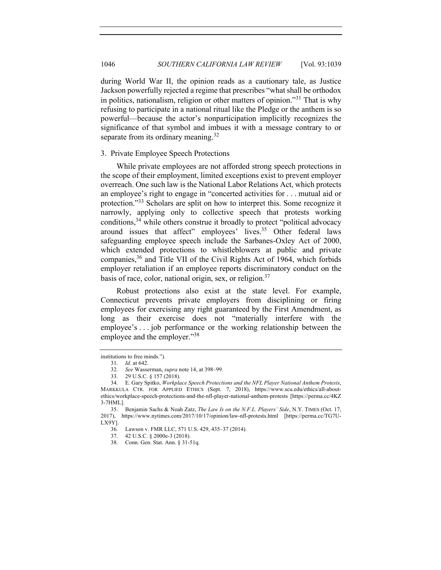during World War II, the opinion reads as a cautionary tale, as Justice Jackson powerfully rejected a regime that prescribes "what shall be orthodox in politics, nationalism, religion or other matters of opinion."<sup>31</sup> That is why refusing to participate in a national ritual like the Pledge or the anthem is so powerful—because the actor's nonparticipation implicitly recognizes the significance of that symbol and imbues it with a message contrary to or separate from its ordinary meaning.<sup>32</sup>

# 3. Private Employee Speech Protections

While private employees are not afforded strong speech protections in the scope of their employment, limited exceptions exist to prevent employer overreach. One such law is the National Labor Relations Act, which protects an employee's right to engage in "concerted activities for . . . mutual aid or protection."<sup>33</sup> Scholars are split on how to interpret this. Some recognize it narrowly, applying only to collective speech that protests working conditions,34 while others construe it broadly to protect "political advocacy around issues that affect" employees' lives.35 Other federal laws safeguarding employee speech include the Sarbanes-Oxley Act of 2000, which extended protections to whistleblowers at public and private companies,<sup>36</sup> and Title VII of the Civil Rights Act of 1964, which forbids employer retaliation if an employee reports discriminatory conduct on the basis of race, color, national origin, sex, or religion.37

Robust protections also exist at the state level. For example, Connecticut prevents private employers from disciplining or firing employees for exercising any right guaranteed by the First Amendment, as long as their exercise does not "materially interfere with the employee's . . . job performance or the working relationship between the employee and the employer."<sup>38</sup>

institutions to free minds.").

<sup>31</sup>*. Id.* at 642.

<sup>32</sup>*. See* Wasserman, *supra* note 14, at 398–99.

<sup>33.</sup> 29 U.S.C. § 157 (2018).

<sup>34.</sup> E. Gary Spitko, *Workplace Speech Protections and the NFL Player National Anthem Protests*, MARKKULA CTR. FOR APPLIED ETHICS (Sept. 7, 2018), https://www.scu.edu/ethics/all-aboutethics/workplace-speech-protections-and-the-nfl-player-national-anthem-protests [https://perma.cc/4KZ 3-7HML].

<sup>35.</sup> Benjamin Sachs & Noah Zatz, *The Law Is on the N.F.L. Players' Side*, N.Y. TIMES (Oct. 17, 2017), https://www.nytimes.com/2017/10/17/opinion/law-nfl-protests.html [https://perma.cc/TG7U-LX9Y].

<sup>36</sup>*.* Lawson v. FMR LLC, 571 U.S. 429, 435–37 (2014).

<sup>37.</sup> 42 U.S.C. § 2000e-3 (2018).

<sup>38.</sup> Conn. Gen. Stat. Ann. § 31-51q.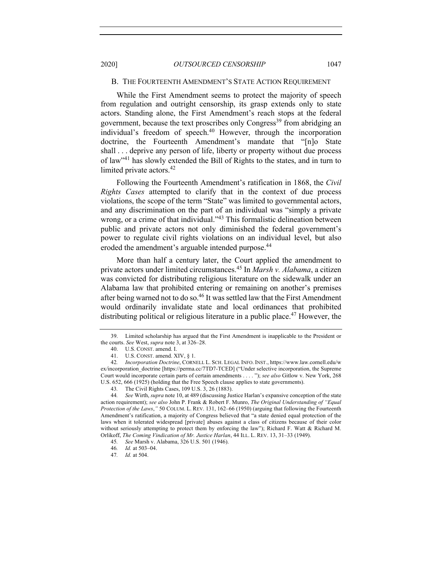# B. THE FOURTEENTH AMENDMENT'S STATE ACTION REQUIREMENT

While the First Amendment seems to protect the majority of speech from regulation and outright censorship, its grasp extends only to state actors. Standing alone, the First Amendment's reach stops at the federal government, because the text proscribes only Congress<sup>39</sup> from abridging an individual's freedom of speech.<sup>40</sup> However, through the incorporation doctrine, the Fourteenth Amendment's mandate that "[n]o State shall . . . deprive any person of life, liberty or property without due process of law"41 has slowly extended the Bill of Rights to the states, and in turn to limited private actors.<sup>42</sup>

Following the Fourteenth Amendment's ratification in 1868, the *Civil Rights Cases* attempted to clarify that in the context of due process violations, the scope of the term "State" was limited to governmental actors, and any discrimination on the part of an individual was "simply a private wrong, or a crime of that individual."43 This formalistic delineation between public and private actors not only diminished the federal government's power to regulate civil rights violations on an individual level, but also eroded the amendment's arguable intended purpose.<sup>44</sup>

More than half a century later, the Court applied the amendment to private actors under limited circumstances.<sup>45</sup> In *Marsh v. Alabama*, a citizen was convicted for distributing religious literature on the sidewalk under an Alabama law that prohibited entering or remaining on another's premises after being warned not to do so.<sup>46</sup> It was settled law that the First Amendment would ordinarily invalidate state and local ordinances that prohibited distributing political or religious literature in a public place.<sup>47</sup> However, the

<sup>39.</sup> Limited scholarship has argued that the First Amendment is inapplicable to the President or the courts. *See* West, *supra* note 3, at 326–28.

<sup>40.</sup> U.S. CONST. amend. I.

<sup>41.</sup> U.S. CONST. amend. XIV, § 1.

<sup>42</sup>*. Incorporation Doctrine*, CORNELL L. SCH. LEGAL INFO. INST., https://www.law.cornell.edu/w ex/incorporation\_doctrine [https://perma.cc/7TD7-TCED] ("Under selective incorporation, the Supreme Court would incorporate certain parts of certain amendments . . . . "); *see also* Gitlow v. New York, 268 U.S. 652, 666 (1925) (holding that the Free Speech clause applies to state governments).

<sup>43</sup>*.* The Civil Rights Cases, 109 U.S. 3, 26 (1883).

<sup>44</sup>*. See* Wirth, *supra* note 10, at 489 (discussing Justice Harlan's expansive conception of the state action requirement); *see also* John P. Frank & Robert F. Munro, *The Original Understanding of "Equal Protection of the Laws*,*"* 50 COLUM. L. REV. 131, 162–66 (1950) (arguing that following the Fourteenth Amendment's ratification, a majority of Congress believed that "a state denied equal protection of the laws when it tolerated widespread [private] abuses against a class of citizens because of their color without seriously attempting to protect them by enforcing the law"); Richard F. Watt & Richard M. Orlikoff, *The Coming Vindication of Mr. Justice Harlan*, 44 ILL. L. REV. 13, 31–33 (1949).

<sup>45</sup>*. See* Marsh v. Alabama, 326 U.S. 501 (1946).

<sup>46</sup>*. Id.* at 503–04.

<sup>47</sup>*. Id.* at 504.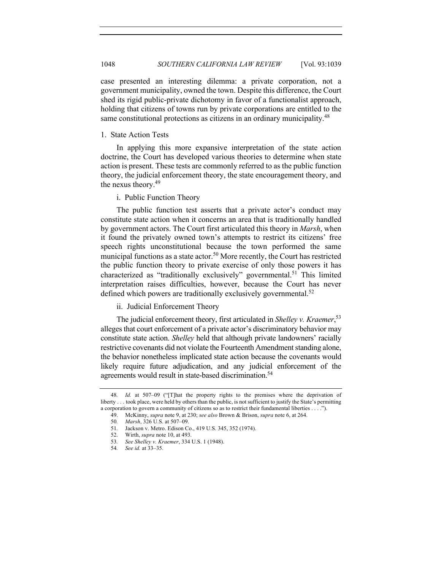case presented an interesting dilemma: a private corporation, not a government municipality, owned the town. Despite this difference, the Court shed its rigid public-private dichotomy in favor of a functionalist approach, holding that citizens of towns run by private corporations are entitled to the same constitutional protections as citizens in an ordinary municipality.<sup>48</sup>

# 1. State Action Tests

In applying this more expansive interpretation of the state action doctrine, the Court has developed various theories to determine when state action is present. These tests are commonly referred to as the public function theory, the judicial enforcement theory, the state encouragement theory, and the nexus theory.49

i. Public Function Theory

The public function test asserts that a private actor's conduct may constitute state action when it concerns an area that is traditionally handled by government actors. The Court first articulated this theory in *Marsh*, when it found the privately owned town's attempts to restrict its citizens' free speech rights unconstitutional because the town performed the same municipal functions as a state actor.<sup>50</sup> More recently, the Court has restricted the public function theory to private exercise of only those powers it has characterized as "traditionally exclusively" governmental.<sup>51</sup> This limited interpretation raises difficulties, however, because the Court has never defined which powers are traditionally exclusively governmental.<sup>52</sup>

ii. Judicial Enforcement Theory

The judicial enforcement theory, first articulated in *Shelley v. Kraemer*, 53 alleges that court enforcement of a private actor's discriminatory behavior may constitute state action. *Shelley* held that although private landowners' racially restrictive covenants did not violate the Fourteenth Amendment standing alone, the behavior nonetheless implicated state action because the covenants would likely require future adjudication, and any judicial enforcement of the agreements would result in state-based discrimination.<sup>54</sup>

<sup>48</sup>*. Id.* at 507–09 ("[T]hat the property rights to the premises where the deprivation of liberty . . . took place, were held by others than the public, is not sufficient to justify the State's permitting a corporation to govern a community of citizens so as to restrict their fundamental liberties . . . .").

<sup>49.</sup> McKinny, *supra* note 9, at 230; *see also* Brown & Brison, *supra* note 6, at 264.

<sup>50</sup>*. Marsh*, 326 U.S. at 507–09.

<sup>51</sup>*.* Jackson v. Metro. Edison Co., 419 U.S. 345, 352 (1974).

<sup>52.</sup> Wirth, *supra* note 10, at 493.

<sup>53</sup>*. See Shelley v. Kraemer*, 334 U.S. 1 (1948).

<sup>54</sup>*. See id.* at 33–35.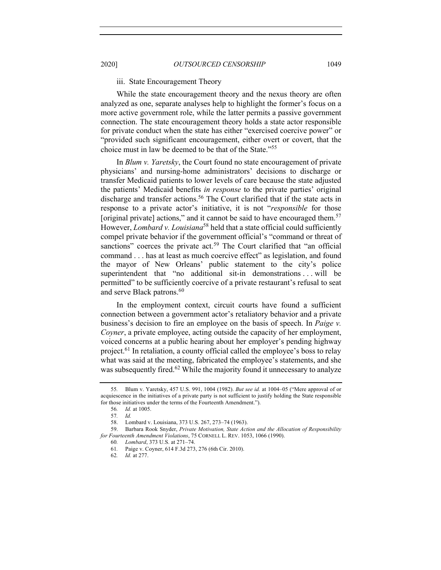iii. State Encouragement Theory

While the state encouragement theory and the nexus theory are often analyzed as one, separate analyses help to highlight the former's focus on a more active government role, while the latter permits a passive government connection. The state encouragement theory holds a state actor responsible for private conduct when the state has either "exercised coercive power" or "provided such significant encouragement, either overt or covert, that the choice must in law be deemed to be that of the State."<sup>55</sup>

In *Blum v. Yaretsky*, the Court found no state encouragement of private physicians' and nursing-home administrators' decisions to discharge or transfer Medicaid patients to lower levels of care because the state adjusted the patients' Medicaid benefits *in response* to the private parties' original discharge and transfer actions.<sup>56</sup> The Court clarified that if the state acts in response to a private actor's initiative, it is not "*responsible* for those [original private] actions," and it cannot be said to have encouraged them.<sup>57</sup> However, *Lombard v. Louisiana*<sup>58</sup> held that a state official could sufficiently compel private behavior if the government official's "command or threat of sanctions" coerces the private  $act<sup>59</sup>$ . The Court clarified that "an official command . . . has at least as much coercive effect" as legislation, and found the mayor of New Orleans' public statement to the city's police superintendent that "no additional sit-in demonstrations . . . will be permitted" to be sufficiently coercive of a private restaurant's refusal to seat and serve Black patrons.<sup>60</sup>

In the employment context, circuit courts have found a sufficient connection between a government actor's retaliatory behavior and a private business's decision to fire an employee on the basis of speech. In *Paige v. Coyner*, a private employee, acting outside the capacity of her employment, voiced concerns at a public hearing about her employer's pending highway project.<sup>61</sup> In retaliation, a county official called the employee's boss to relay what was said at the meeting, fabricated the employee's statements, and she was subsequently fired.<sup>62</sup> While the majority found it unnecessary to analyze

<sup>55</sup>*.* Blum v. Yaretsky, 457 U.S. 991, 1004 (1982). *But see id.* at 1004–05 ("Mere approval of or acquiescence in the initiatives of a private party is not sufficient to justify holding the State responsible for those initiatives under the terms of the Fourteenth Amendment.").

<sup>56</sup>*. Id.* at 1005.

<sup>57</sup>*. Id.*

<sup>58.</sup> Lombard v. Louisiana, 373 U.S. 267, 273–74 (1963).

<sup>59.</sup> Barbara Rook Snyder, *Private Motivation, State Action and the Allocation of Responsibility for Fourteenth Amendment Violations*, 75 CORNELL L. REV. 1053, 1066 (1990).

<sup>60</sup>*. Lombard*, 373 U.S. at 271–74.

<sup>61</sup>*.* Paige v. Coyner, 614 F.3d 273, 276 (6th Cir. 2010).

<sup>62</sup>*. Id.* at 277.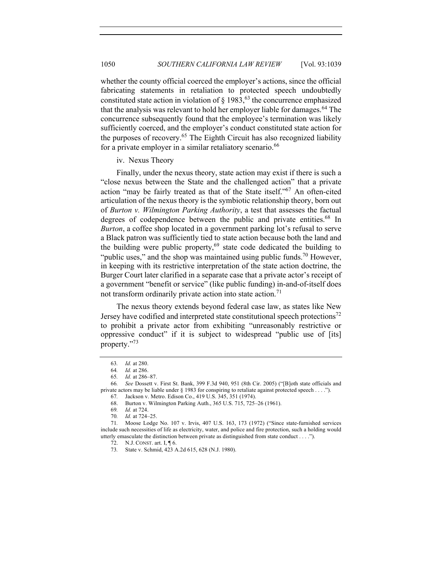whether the county official coerced the employer's actions, since the official fabricating statements in retaliation to protected speech undoubtedly constituted state action in violation of  $\S$  1983, <sup>63</sup> the concurrence emphasized that the analysis was relevant to hold her employer liable for damages.<sup>64</sup> The concurrence subsequently found that the employee's termination was likely sufficiently coerced, and the employer's conduct constituted state action for the purposes of recovery.<sup>65</sup> The Eighth Circuit has also recognized liability for a private employer in a similar retaliatory scenario.<sup>66</sup>

iv. Nexus Theory

Finally, under the nexus theory, state action may exist if there is such a "close nexus between the State and the challenged action" that a private action "may be fairly treated as that of the State itself."67 An often-cited articulation of the nexus theory is the symbiotic relationship theory, born out of *Burton v. Wilmington Parking Authority*, a test that assesses the factual degrees of codependence between the public and private entities.<sup>68</sup> In *Burton*, a coffee shop located in a government parking lot's refusal to serve a Black patron was sufficiently tied to state action because both the land and the building were public property, $69$  state code dedicated the building to "public uses," and the shop was maintained using public funds.<sup>70</sup> However, in keeping with its restrictive interpretation of the state action doctrine, the Burger Court later clarified in a separate case that a private actor's receipt of a government "benefit or service" (like public funding) in-and-of-itself does not transform ordinarily private action into state action.<sup>71</sup>

The nexus theory extends beyond federal case law, as states like New Jersey have codified and interpreted state constitutional speech protections<sup>72</sup> to prohibit a private actor from exhibiting "unreasonably restrictive or oppressive conduct" if it is subject to widespread "public use of [its] property."73

70*. Id.* at 724–25.

<sup>63</sup>*. Id.* at 280.

<sup>64</sup>*. Id.* at 286.

<sup>65</sup>*. Id.* at 286–87.

<sup>66</sup>*. See* Dossett v. First St. Bank, 399 F.3d 940, 951 (8th Cir. 2005) ("[B]oth state officials and private actors may be liable under § 1983 for conspiring to retaliate against protected speech . . . ."). 67*.* Jackson v. Metro. Edison Co., 419 U.S. 345, 351 (1974).

<sup>68.</sup> Burton v. Wilmington Parking Auth., 365 U.S. 715, 725–26 (1961).

<sup>69</sup>*. Id.* at 724.

<sup>71</sup>*.* Moose Lodge No. 107 v. Irvis, 407 U.S. 163, 173 (1972) ("Since state-furnished services include such necessities of life as electricity, water, and police and fire protection, such a holding would utterly emasculate the distinction between private as distinguished from state conduct . . . .").

<sup>72.</sup> N.J. CONST. art. I, ¶ 6.

<sup>73</sup>*.* State v. Schmid, 423 A.2d 615, 628 (N.J. 1980).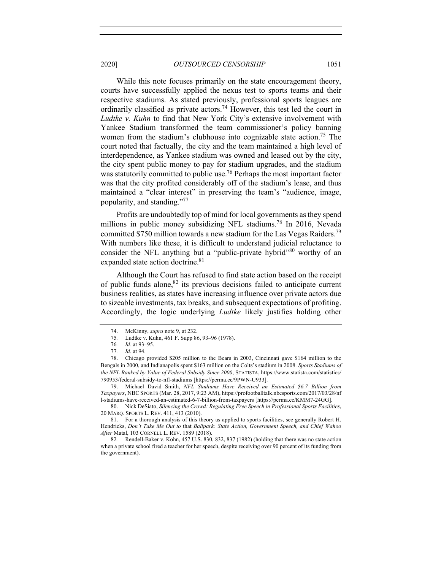While this note focuses primarily on the state encouragement theory, courts have successfully applied the nexus test to sports teams and their respective stadiums. As stated previously, professional sports leagues are ordinarily classified as private actors.<sup>74</sup> However, this test led the court in *Ludtke v. Kuhn* to find that New York City's extensive involvement with Yankee Stadium transformed the team commissioner's policy banning women from the stadium's clubhouse into cognizable state action.<sup>75</sup> The court noted that factually, the city and the team maintained a high level of interdependence, as Yankee stadium was owned and leased out by the city, the city spent public money to pay for stadium upgrades, and the stadium was statutorily committed to public use.<sup>76</sup> Perhaps the most important factor was that the city profited considerably off of the stadium's lease, and thus maintained a "clear interest" in preserving the team's "audience, image, popularity, and standing."77

Profits are undoubtedly top of mind for local governments as they spend millions in public money subsidizing NFL stadiums.<sup>78</sup> In 2016, Nevada committed \$750 million towards a new stadium for the Las Vegas Raiders.79 With numbers like these, it is difficult to understand judicial reluctance to consider the NFL anything but a "public-private hybrid"<sup>80</sup> worthy of an expanded state action doctrine.<sup>81</sup>

Although the Court has refused to find state action based on the receipt of public funds alone, $82$  its previous decisions failed to anticipate current business realities, as states have increasing influence over private actors due to sizeable investments, tax breaks, and subsequent expectations of profiting. Accordingly, the logic underlying *Ludtke* likely justifies holding other

<sup>74.</sup> McKinny, *supra* note 9, at 232.

<sup>75</sup>*.* Ludtke v. Kuhn, 461 F. Supp 86, 93–96 (1978).

<sup>76</sup>*. Id.* at 93–95. 77*. Id.* at 94.

<sup>78.</sup> Chicago provided \$205 million to the Bears in 2003, Cincinnati gave \$164 million to the Bengals in 2000, and Indianapolis spent \$163 million on the Colts's stadium in 2008. *Sports Stadiums of the NFL Ranked by Value of Federal Subsidy Since 2000*, STATISTA, https://www.statista.com/statistics/ 790953/federal-subsidy-to-nfl-stadiums [https://perma.cc/9PWN-U933].

<sup>79.</sup> Michael David Smith, *NFL Stadiums Have Received an Estimated \$6.7 Billion from Taxpayers*, NBC SPORTS (Mar. 28, 2017, 9:23 AM), https://profootballtalk.nbcsports.com/2017/03/28/nf l-stadiums-have-received-an-estimated-6-7-billion-from-taxpayers [https://perma.cc/KMM7-24GG].

<sup>80.</sup> Nick DeSiato, *Silencing the Crowd: Regulating Free Speech in Professional Sports Facilities*, 20 MARQ. SPORTS L. REV. 411, 413 (2010).

<sup>81.</sup> For a thorough analysis of this theory as applied to sports facilities, see generally Robert H. Hendricks, *Don't Take Me Out to* that *Ballpark: State Action, Government Speech, and Chief Wahoo After* Matal, 103 CORNELL L. REV. 1589 (2018).

<sup>82</sup>*.* Rendell-Baker v. Kohn, 457 U.S. 830, 832, 837 (1982) (holding that there was no state action when a private school fired a teacher for her speech, despite receiving over 90 percent of its funding from the government).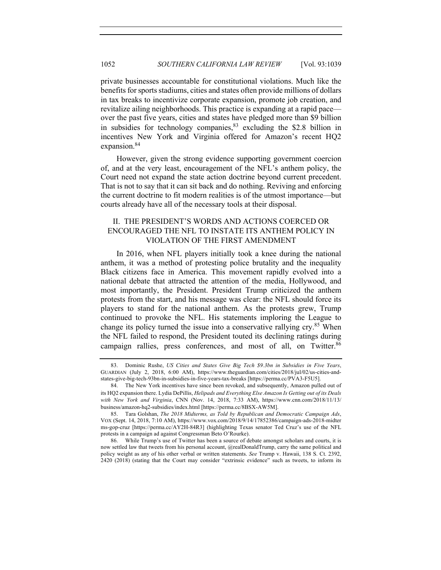private businesses accountable for constitutional violations. Much like the benefits for sports stadiums, cities and states often provide millions of dollars in tax breaks to incentivize corporate expansion, promote job creation, and revitalize ailing neighborhoods. This practice is expanding at a rapid pace over the past five years, cities and states have pledged more than \$9 billion in subsidies for technology companies,  $83$  excluding the \$2.8 billion in incentives New York and Virginia offered for Amazon's recent HQ2 expansion.<sup>84</sup>

However, given the strong evidence supporting government coercion of, and at the very least, encouragement of the NFL's anthem policy, the Court need not expand the state action doctrine beyond current precedent. That is not to say that it can sit back and do nothing. Reviving and enforcing the current doctrine to fit modern realities is of the utmost importance—but courts already have all of the necessary tools at their disposal.

# II. THE PRESIDENT'S WORDS AND ACTIONS COERCED OR ENCOURAGED THE NFL TO INSTATE ITS ANTHEM POLICY IN VIOLATION OF THE FIRST AMENDMENT

In 2016, when NFL players initially took a knee during the national anthem, it was a method of protesting police brutality and the inequality Black citizens face in America. This movement rapidly evolved into a national debate that attracted the attention of the media, Hollywood, and most importantly, the President. President Trump criticized the anthem protests from the start, and his message was clear: the NFL should force its players to stand for the national anthem. As the protests grew, Trump continued to provoke the NFL. His statements imploring the League to change its policy turned the issue into a conservative rallying cry.<sup>85</sup> When the NFL failed to respond, the President touted its declining ratings during campaign rallies, press conferences, and most of all, on Twitter.<sup>86</sup>

<sup>83.</sup> Dominic Rushe, *US Cities and States Give Big Tech \$9.3bn in Subsidies in Five Years*, GUARDIAN (July 2, 2018, 6:00 AM), https://www.theguardian.com/cities/2018/jul/02/us-cities-andstates-give-big-tech-93bn-in-subsidies-in-five-years-tax-breaks [https://perma.cc/PVA3-F5U5].

<sup>84.</sup> The New York incentives have since been revoked, and subsequently, Amazon pulled out of its HQ2 expansion there. Lydia DePillis, *Helipads and Everything Else Amazon Is Getting out of its Deals with New York and Virginia*, CNN (Nov. 14, 2018, 7:33 AM), https://www.cnn.com/2018/11/13/ business/amazon-hq2-subsidies/index.html [https://perma.cc/8BSX-AW5M].

<sup>85.</sup> Tara Golshan, *The 2018 Midterms, as Told by Republican and Democratic Campaign Ads*, VOX (Sept. 14, 2018, 7:10 AM), https://www.vox.com/2018/9/14/17852386/campaign-ads-2018-midter ms-gop-cruz [https://perma.cc/AY2H-84R3] (highlighting Texas senator Ted Cruz's use of the NFL protests in a campaign ad against Congressman Beto O'Rourke).

<sup>86.</sup> While Trump's use of Twitter has been a source of debate amongst scholars and courts, it is now settled law that tweets from his personal account, @realDonaldTrump, carry the same political and policy weight as any of his other verbal or written statements. *See* Trump v. Hawaii, 138 S. Ct. 2392, 2420 (2018) (stating that the Court may consider "extrinsic evidence" such as tweets, to inform its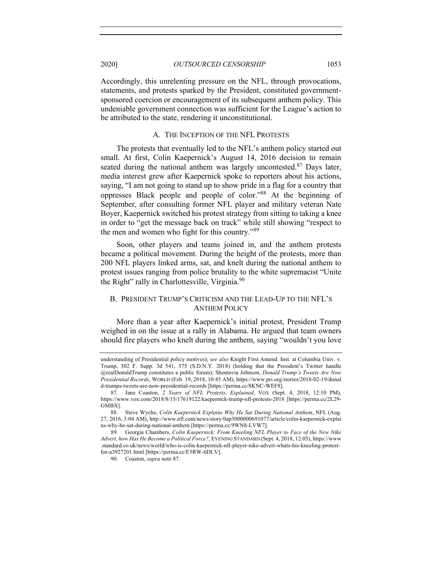Accordingly, this unrelenting pressure on the NFL, through provocations, statements, and protests sparked by the President, constituted governmentsponsored coercion or encouragement of its subsequent anthem policy. This undeniable government connection was sufficient for the League's action to be attributed to the state, rendering it unconstitutional.

# A. THE INCEPTION OF THE NFL PROTESTS

The protests that eventually led to the NFL's anthem policy started out small. At first, Colin Kaepernick's August 14, 2016 decision to remain seated during the national anthem was largely uncontested.<sup>87</sup> Days later, media interest grew after Kaepernick spoke to reporters about his actions, saying, "I am not going to stand up to show pride in a flag for a country that oppresses Black people and people of color."88 At the beginning of September, after consulting former NFL player and military veteran Nate Boyer, Kaepernick switched his protest strategy from sitting to taking a knee in order to "get the message back on track" while still showing "respect to the men and women who fight for this country."<sup>89</sup>

Soon, other players and teams joined in, and the anthem protests became a political movement. During the height of the protests, more than 200 NFL players linked arms, sat, and knelt during the national anthem to protest issues ranging from police brutality to the white supremacist "Unite the Right" rally in Charlottesville, Virginia.<sup>90</sup>

# B. PRESIDENT TRUMP'S CRITICISM AND THE LEAD-UP TO THE NFL'S ANTHEM POLICY

More than a year after Kaepernick's initial protest, President Trump weighed in on the issue at a rally in Alabama. He argued that team owners should fire players who knelt during the anthem, saying "wouldn't you love

understanding of Presidential policy motives); *see also* Knight First Amend. Inst. at Columbia Univ. v. Trump, 302 F. Supp. 3d 541, 575 (S.D.N.Y. 2018) (holding that the President's Twitter handle @realDonaldTrump constitutes a public forum); Shontavia Johnson, *Donald Trump's Tweets Are Now Presidential Records*, WORLD (Feb. 19, 2018, 10:45 AM), https://www.pri.org/stories/2018-02-19/donal d-trumps-tweets-are-now-presidential-records [https://perma.cc/8KNC-WEF8].

<sup>87.</sup> Jane Coaston, *2 Years of NFL Protests, Explained*, VOX (Sept. 4, 2018, 12:10 PM), https://www.vox.com/2018/8/15/17619122/kaepernick-trump-nfl-protests-2018 [https://perma.cc/2L29- GMBX].

<sup>88.</sup> Steve Wyche, *Colin Kaepernick Explains Why He Sat During National Anthem*, NFL (Aug. 27, 2016, 3:04 AM), http://www.nfl.com/news/story/0ap3000000691077/article/colin-kaepernick-explai ns-why-he-sat-during-national-anthem [https://perma.cc/9WN8-LVW7].

<sup>89</sup>*.* Georgia Chambers, *Colin Kaepernick: From Kneeling NFL Player to Face of the New Nike Advert, how Has He Become a Political Force?*, EVENING STANDARD (Sept. 4, 2018, 12:05), https://www .standard.co.uk/news/world/who-is-colin-kaepernick-nfl-player-nike-advert-whats-his-kneeling-protestfor-a3927201.html [https://perma.cc/E5RW-6DLV].

<sup>90.</sup> Coaston, *supra* note 87.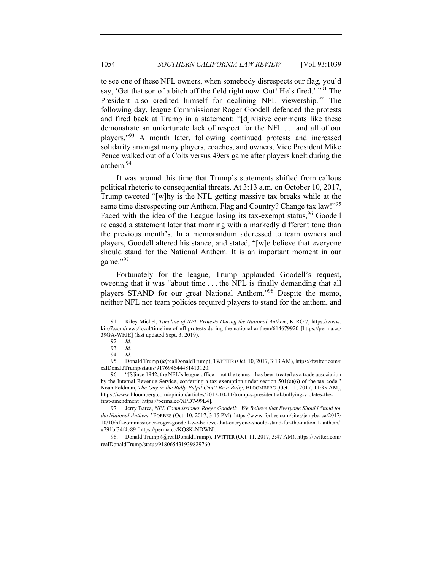to see one of these NFL owners, when somebody disrespects our flag, you'd say, 'Get that son of a bitch off the field right now. Out! He's fired.' "<sup>91</sup> The President also credited himself for declining NFL viewership.<sup>92</sup> The following day, league Commissioner Roger Goodell defended the protests and fired back at Trump in a statement: "[d]ivisive comments like these demonstrate an unfortunate lack of respect for the NFL . . . and all of our players."93 A month later, following continued protests and increased solidarity amongst many players, coaches, and owners, Vice President Mike Pence walked out of a Colts versus 49ers game after players knelt during the anthem.94

It was around this time that Trump's statements shifted from callous political rhetoric to consequential threats. At 3:13 a.m. on October 10, 2017, Trump tweeted "[w]hy is the NFL getting massive tax breaks while at the same time disrespecting our Anthem, Flag and Country? Change tax law!"<sup>95</sup> Faced with the idea of the League losing its tax-exempt status,  $96$  Goodell released a statement later that morning with a markedly different tone than the previous month's. In a memorandum addressed to team owners and players, Goodell altered his stance, and stated, "[w]e believe that everyone should stand for the National Anthem. It is an important moment in our game."97

Fortunately for the league, Trump applauded Goodell's request, tweeting that it was "about time . . . the NFL is finally demanding that all players STAND for our great National Anthem."98 Despite the memo, neither NFL nor team policies required players to stand for the anthem, and

<sup>91.</sup> Riley Michel, *Timeline of NFL Protests During the National Anthem*, KIRO 7, https://www. kiro7.com/news/local/timeline-of-nfl-protests-during-the-national-anthem/614679920 [https://perma.cc/ 39GA-WFJE] (last updated Sept. 3, 2019).

<sup>92</sup>*. Id.*

<sup>93</sup>*. Id.*

<sup>94</sup>*. Id.*

<sup>95.</sup> Donald Trump (@realDonaldTrump), TWITTER (Oct. 10, 2017, 3:13 AM), https://twitter.com/r ealDonaldTrump/status/917694644481413120.

<sup>96.</sup> "[S]ince 1942, the NFL's league office – not the teams – has been treated as a trade association by the Internal Revenue Service, conferring a tax exemption under section  $501(c)(6)$  of the tax code." Noah Feldman, *The Guy in the Bully Pulpit Can't Be a Bully*, BLOOMBERG (Oct. 11, 2017, 11:35 AM), https://www.bloomberg.com/opinion/articles/2017-10-11/trump-s-presidential-bullying-violates-thefirst-amendment [https://perma.cc/XPD7-99L4].

<sup>97.</sup> Jerry Barca, *NFL Commissioner Roger Goodell: 'We Believe that Everyone Should Stand for the National Anthem,'* FORBES (Oct. 10, 2017, 3:15 PM), https://www.forbes.com/sites/jerrybarca/2017/ 10/10/nfl-commissioner-roger-goodell-we-believe-that-everyone-should-stand-for-the-national-anthem/ #791bf34f4c89 [https://perma.cc/KQ8K-NDWN].

<sup>98.</sup> Donald Trump (@realDonaldTrump), TWITTER (Oct. 11, 2017, 3:47 AM), https://twitter.com/ realDonaldTrump/status/918065431939829760.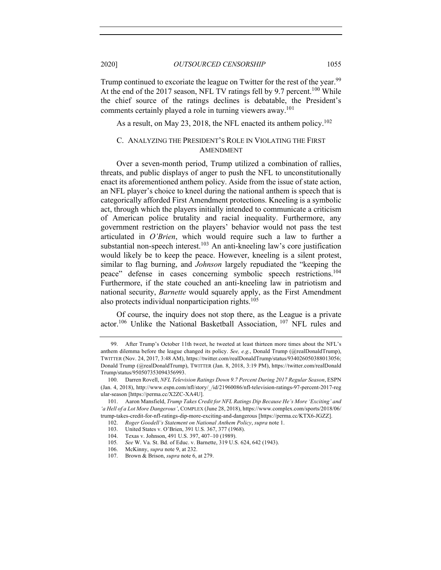Trump continued to excoriate the league on Twitter for the rest of the year.<sup>99</sup> At the end of the 2017 season, NFL TV ratings fell by 9.7 percent.<sup>100</sup> While the chief source of the ratings declines is debatable, the President's comments certainly played a role in turning viewers away.<sup>101</sup>

As a result, on May 23, 2018, the NFL enacted its anthem policy.<sup>102</sup>

# C. ANALYZING THE PRESIDENT'S ROLE IN VIOLATING THE FIRST AMENDMENT

Over a seven-month period, Trump utilized a combination of rallies, threats, and public displays of anger to push the NFL to unconstitutionally enact its aforementioned anthem policy. Aside from the issue of state action, an NFL player's choice to kneel during the national anthem is speech that is categorically afforded First Amendment protections. Kneeling is a symbolic act, through which the players initially intended to communicate a criticism of American police brutality and racial inequality. Furthermore, any government restriction on the players' behavior would not pass the test articulated in *O'Brien*, which would require such a law to further a substantial non-speech interest.<sup>103</sup> An anti-kneeling law's core justification would likely be to keep the peace. However, kneeling is a silent protest, similar to flag burning, and *Johnson* largely repudiated the "keeping the peace" defense in cases concerning symbolic speech restrictions.104 Furthermore, if the state couched an anti-kneeling law in patriotism and national security, *Barnette* would squarely apply, as the First Amendment also protects individual nonparticipation rights.<sup>105</sup>

Of course, the inquiry does not stop there, as the League is a private actor.106 Unlike the National Basketball Association, <sup>107</sup> NFL rules and

<sup>99.</sup> After Trump's October 11th tweet, he tweeted at least thirteen more times about the NFL's anthem dilemma before the league changed its policy. *See, e.g.*, Donald Trump (@realDonaldTrump), TWITTER (Nov. 24, 2017, 3:48 AM), https://twitter.com/realDonaldTrump/status/934026050388013056; Donald Trump (@realDonaldTrump), TWITTER (Jan. 8, 2018, 3:19 PM), https://twitter.com/realDonald Trump/status/950507353094356993.

<sup>100.</sup> Darren Rovell, *NFL Television Ratings Down 9.7 Percent During 2017 Regular Season*, ESPN (Jan. 4, 2018), http://www.espn.com/nfl/story/\_/id/21960086/nfl-television-ratings-97-percent-2017-reg ular-season [https://perma.cc/X2ZC-XA4U].

<sup>101.</sup> Aaron Mansfield, *Trump Takes Credit for NFL Ratings Dip Because He's More 'Exciting' and 'a Hell of a Lot More Dangerous'*, COMPLEX (June 28, 2018), https://www.complex.com/sports/2018/06/ trump-takes-credit-for-nfl-ratings-dip-more-exciting-and-dangerous [https://perma.cc/KTX6-JGZZ].

<sup>102.</sup> *Roger Goodell's Statement on National Anthem Policy*, *supra* note 1.

<sup>103.</sup> United States v. O'Brien, 391 U.S. 367, 377 (1968). 104. Texas v. Johnson, 491 U.S. 397, 407–10 (1989).

<sup>105</sup>*. See* W. Va. St. Bd. of Educ. v. Barnette, 319 U.S. 624, 642 (1943).

<sup>106.</sup> McKinny, *supra* note 9, at 232.

<sup>107.</sup> Brown & Brison, *supra* note 6, at 279.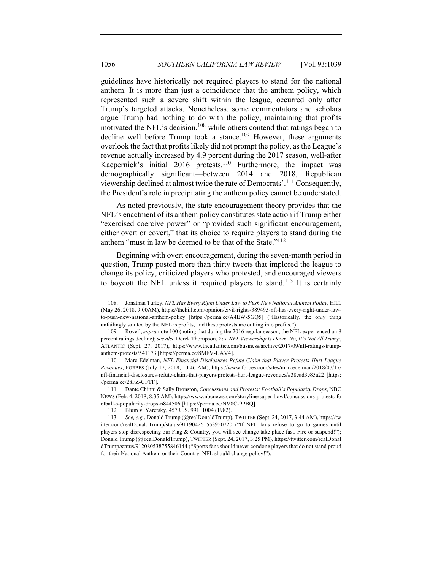guidelines have historically not required players to stand for the national anthem. It is more than just a coincidence that the anthem policy, which represented such a severe shift within the league, occurred only after Trump's targeted attacks. Nonetheless, some commentators and scholars argue Trump had nothing to do with the policy, maintaining that profits motivated the NFL's decision,<sup>108</sup> while others contend that ratings began to decline well before Trump took a stance.<sup>109</sup> However, these arguments overlook the fact that profits likely did not prompt the policy, as the League's revenue actually increased by 4.9 percent during the 2017 season, well-after Kaepernick's initial 2016 protests.<sup>110</sup> Furthermore, the impact was demographically significant—between 2014 and 2018, Republican viewership declined at almost twice the rate of Democrats'.<sup>111</sup> Consequently, the President's role in precipitating the anthem policy cannot be understated.

As noted previously, the state encouragement theory provides that the NFL's enactment of its anthem policy constitutes state action if Trump either "exercised coercive power" or "provided such significant encouragement, either overt or covert," that its choice to require players to stand during the anthem "must in law be deemed to be that of the State."112

Beginning with overt encouragement, during the seven-month period in question, Trump posted more than thirty tweets that implored the league to change its policy, criticized players who protested, and encouraged viewers to boycott the NFL unless it required players to stand.<sup>113</sup> It is certainly

<sup>108.</sup> Jonathan Turley, *NFL Has Every Right Under Law to Push New National Anthem Policy*, HILL (May 26, 2018, 9:00AM), https://thehill.com/opinion/civil-rights/389495-nfl-has-every-right-under-lawto-push-new-national-anthem-policy [https://perma.cc/A4EW-5GQ5] ("Historically, the only thing unfailingly saluted by the NFL is profits, and these protests are cutting into profits.").

<sup>109.</sup> Rovell, *supra* note 100 (noting that during the 2016 regular season, the NFL experienced an 8 percent ratings decline); *see also* Derek Thompson, *Yes, NFL Viewership Is Down. No, It's Not All Trump*, ATLANTIC (Sept. 27, 2017), https://www.theatlantic.com/business/archive/2017/09/nfl-ratings-trumpanthem-protests/541173 [https://perma.cc/8MFV-UAV4].

<sup>110.</sup> Marc Edelman, *NFL Financial Disclosures Refute Claim that Player Protests Hurt League Revenues*, FORBES (July 17, 2018, 10:46 AM), https://www.forbes.com/sites/marcedelman/2018/07/17/ nfl-financial-disclosures-refute-claim-that-players-protests-hurt-league-revenues/#38cad3e85a22 [https: //perma.cc/28FZ-GFTF].

<sup>111.</sup> Dante Chinni & Sally Bronston, *Concussions and Protests: Football's Popularity Drops*, NBC NEWS (Feb. 4, 2018, 8:35 AM), https://www.nbcnews.com/storyline/super-bowl/concussions-protests-fo otball-s-popularity-drops-n844506 [https://perma.cc/NV8C-9PBQ].

<sup>112</sup>*.* Blum v. Yaretsky, 457 U.S. 991, 1004 (1982).

<sup>113</sup>*. See, e.g.*, Donald Trump (@realDonaldTrump), TWITTER (Sept. 24, 2017, 3:44 AM), https://tw itter.com/realDonaldTrump/status/911904261553950720 ("If NFL fans refuse to go to games until players stop disrespecting our Flag & Country, you will see change take place fast. Fire or suspend!"); Donald Trump (@ realDonaldTrump), TWITTER (Sept. 24, 2017, 3:25 PM), https://twitter.com/realDonal dTrump/status/912080538755846144 ("Sports fans should never condone players that do not stand proud for their National Anthem or their Country. NFL should change policy!").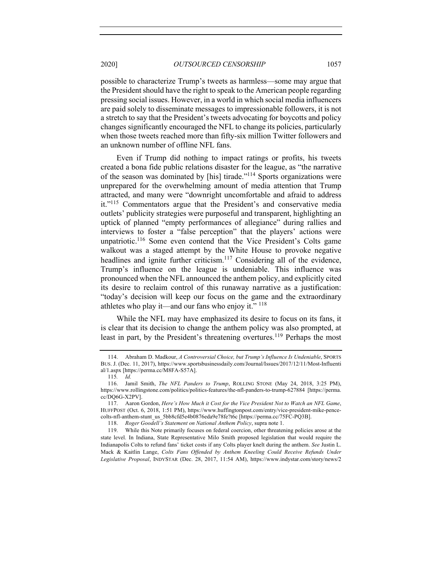possible to characterize Trump's tweets as harmless—some may argue that the President should have the right to speak to the American people regarding pressing social issues. However, in a world in which social media influencers are paid solely to disseminate messages to impressionable followers, it is not a stretch to say that the President's tweets advocating for boycotts and policy changes significantly encouraged the NFL to change its policies, particularly when those tweets reached more than fifty-six million Twitter followers and an unknown number of offline NFL fans.

Even if Trump did nothing to impact ratings or profits, his tweets created a bona fide public relations disaster for the league, as "the narrative of the season was dominated by [his] tirade."114 Sports organizations were unprepared for the overwhelming amount of media attention that Trump attracted, and many were "downright uncomfortable and afraid to address it."<sup>115</sup> Commentators argue that the President's and conservative media outlets' publicity strategies were purposeful and transparent, highlighting an uptick of planned "empty performances of allegiance" during rallies and interviews to foster a "false perception" that the players' actions were unpatriotic.<sup>116</sup> Some even contend that the Vice President's Colts game walkout was a staged attempt by the White House to provoke negative headlines and ignite further criticism.<sup>117</sup> Considering all of the evidence, Trump's influence on the league is undeniable. This influence was pronounced when the NFL announced the anthem policy, and explicitly cited its desire to reclaim control of this runaway narrative as a justification: "today's decision will keep our focus on the game and the extraordinary athletes who play it—and our fans who enjoy it."  $^{118}$ 

While the NFL may have emphasized its desire to focus on its fans, it is clear that its decision to change the anthem policy was also prompted, at least in part, by the President's threatening overtures.<sup>119</sup> Perhaps the most

<sup>114.</sup> Abraham D. Madkour, *A Controversial Choice, but Trump's Influence Is Undeniable*, SPORTS BUS. J. (Dec. 11, 2017), https://www.sportsbusinessdaily.com/Journal/Issues/2017/12/11/Most-Influenti al/1.aspx [https://perma.cc/M8FA-S57A].

<sup>115</sup>*. Id.*

<sup>116.</sup> Jamil Smith, *The NFL Panders to Trump*, ROLLING STONE (May 24, 2018, 3:25 PM), https://www.rollingstone.com/politics/politics-features/the-nfl-panders-to-trump-627884 [https://perma. cc/DQ6G-X2PV].

<sup>117.</sup> Aaron Gordon, *Here's How Much it Cost for the Vice President Not to Watch an NFL Game*, HUFFPOST (Oct. 6, 2018, 1:51 PM), https://www.huffingtonpost.com/entry/vice-president-mike-pencecolts-nfl-anthem-stunt\_us\_5bb8cfd5e4b0876eda9e78fe?t6c [https://perma.cc/75FC-PQ3B].

<sup>118.</sup> *Roger Goodell's Statement on National Anthem Policy*, supra note 1.

<sup>119.</sup> While this Note primarily focuses on federal coercion, other threatening policies arose at the state level. In Indiana, State Representative Milo Smith proposed legislation that would require the Indianapolis Colts to refund fans' ticket costs if any Colts player knelt during the anthem. *See* Justin L. Mack & Kaitlin Lange, *Colts Fans Offended by Anthem Kneeling Could Receive Refunds Under Legislative Proposal*, INDYSTAR (Dec. 28, 2017, 11:54 AM), https://www.indystar.com/story/news/2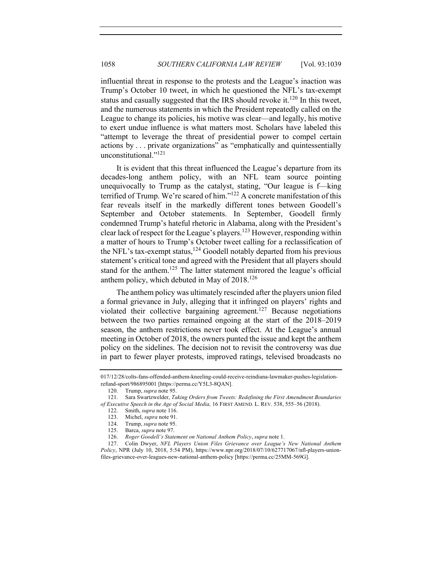influential threat in response to the protests and the League's inaction was Trump's October 10 tweet, in which he questioned the NFL's tax-exempt status and casually suggested that the IRS should revoke it.<sup>120</sup> In this tweet, and the numerous statements in which the President repeatedly called on the League to change its policies, his motive was clear—and legally, his motive to exert undue influence is what matters most. Scholars have labeled this "attempt to leverage the threat of presidential power to compel certain actions by . . . private organizations" as "emphatically and quintessentially unconstitutional."<sup>121</sup>

It is evident that this threat influenced the League's departure from its decades-long anthem policy, with an NFL team source pointing unequivocally to Trump as the catalyst, stating, "Our league is f—king terrified of Trump. We're scared of him."122 A concrete manifestation of this fear reveals itself in the markedly different tones between Goodell's September and October statements. In September, Goodell firmly condemned Trump's hateful rhetoric in Alabama, along with the President's clear lack of respect for the League's players.123 However, responding within a matter of hours to Trump's October tweet calling for a reclassification of the NFL's tax-exempt status,<sup>124</sup> Goodell notably departed from his previous statement's critical tone and agreed with the President that all players should stand for the anthem.<sup>125</sup> The latter statement mirrored the league's official anthem policy, which debuted in May of 2018.126

The anthem policy was ultimately rescinded after the players union filed a formal grievance in July, alleging that it infringed on players' rights and violated their collective bargaining agreement.<sup>127</sup> Because negotiations between the two parties remained ongoing at the start of the 2018–2019 season, the anthem restrictions never took effect. At the League's annual meeting in October of 2018, the owners punted the issue and kept the anthem policy on the sidelines. The decision not to revisit the controversy was due in part to fewer player protests, improved ratings, televised broadcasts no

<sup>017/12/28/</sup>colts-fans-offended-anthem-kneeling-could-receive-reindiana-lawmaker-pushes-legislationrefund-sport/986895001 [https://perma.cc/Y5L3-8QAN].

<sup>120.</sup> Trump, *supra* note 95.

<sup>121.</sup> Sara Swartzwelder, *Taking Orders from Tweets: Redefining the First Amendment Boundaries of Executive Speech in the Age of Social Media,* 16 FIRST AMEND. L. REV. 538, 555–56 (2018).

<sup>122.</sup> Smith, *supra* note 116.

<sup>123.</sup> Michel, *supra* note 91.

<sup>124.</sup> Trump, *supra* note 95.

<sup>125.</sup> Barca, *supra* note 97.

<sup>126.</sup> *Roger Goodell's Statement on National Anthem Policy*, *supra* note 1.

<sup>127.</sup> Colin Dwyer, *NFL Players Union Files Grievance over League's New National Anthem Policy*, NPR (July 10, 2018, 5:54 PM), https://www.npr.org/2018/07/10/627717067/nfl-players-unionfiles-grievance-over-leagues-new-national-anthem-policy [https://perma.cc/25MM-569G].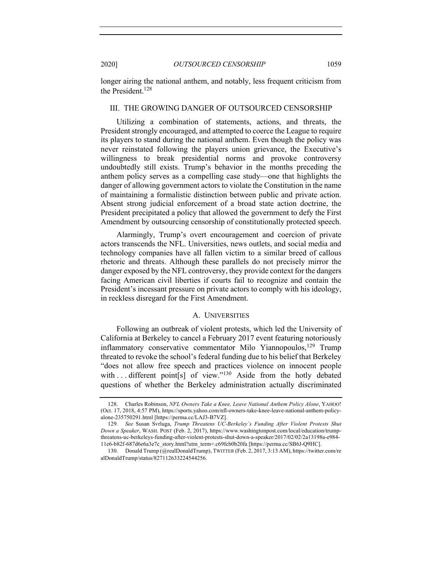longer airing the national anthem, and notably, less frequent criticism from the President.<sup>128</sup>

#### III. THE GROWING DANGER OF OUTSOURCED CENSORSHIP

Utilizing a combination of statements, actions, and threats, the President strongly encouraged, and attempted to coerce the League to require its players to stand during the national anthem. Even though the policy was never reinstated following the players union grievance, the Executive's willingness to break presidential norms and provoke controversy undoubtedly still exists. Trump's behavior in the months preceding the anthem policy serves as a compelling case study—one that highlights the danger of allowing government actors to violate the Constitution in the name of maintaining a formalistic distinction between public and private action. Absent strong judicial enforcement of a broad state action doctrine, the President precipitated a policy that allowed the government to defy the First Amendment by outsourcing censorship of constitutionally protected speech.

Alarmingly, Trump's overt encouragement and coercion of private actors transcends the NFL. Universities, news outlets, and social media and technology companies have all fallen victim to a similar breed of callous rhetoric and threats. Although these parallels do not precisely mirror the danger exposed by the NFL controversy, they provide context for the dangers facing American civil liberties if courts fail to recognize and contain the President's incessant pressure on private actors to comply with his ideology, in reckless disregard for the First Amendment.

#### A. UNIVERSITIES

Following an outbreak of violent protests, which led the University of California at Berkeley to cancel a February 2017 event featuring notoriously inflammatory conservative commentator Milo Yiannopoulos,<sup>129</sup> Trump threated to revoke the school's federal funding due to his belief that Berkeley "does not allow free speech and practices violence on innocent people with ... different point[s] of view."<sup>130</sup> Aside from the hotly debated questions of whether the Berkeley administration actually discriminated

<sup>128.</sup> Charles Robinson, *NFL Owners Take a Knee, Leave National Anthem Policy Alone*, YAHOO! (Oct. 17, 2018, 4:57 PM), https://sports.yahoo.com/nfl-owners-take-knee-leave-national-anthem-policyalone-235750291.html [https://perma.cc/LAJ3-B7VZ].

<sup>129</sup>*. See* Susan Svrluga, *Trump Threatens UC-Berkeley's Funding After Violent Protests Shut Down a Speaker*, WASH. POST (Feb. 2, 2017), https://www.washingtonpost.com/local/education/trumpthreatens-uc-berkeleys-funding-after-violent-protests-shut-down-a-speaker/2017/02/02/2a13198a-e984- 11e6-b82f-687d6e6a3e7c\_story.html?utm\_term=.c69fcb0b20fa [https://perma.cc/SB6J-Q9HC].

<sup>130.</sup> Donald Trump (@realDonaldTrump), TWITTER (Feb. 2, 2017, 3:13 AM), https://twitter.com/re alDonaldTrump/status/827112633224544256.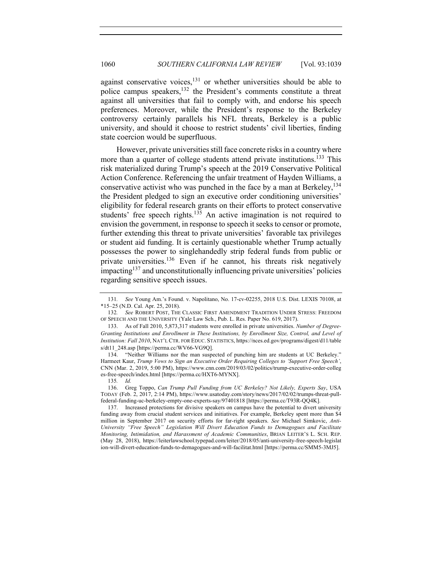against conservative voices, $131$  or whether universities should be able to police campus speakers,132 the President's comments constitute a threat against all universities that fail to comply with, and endorse his speech preferences. Moreover, while the President's response to the Berkeley controversy certainly parallels his NFL threats, Berkeley is a public university, and should it choose to restrict students' civil liberties, finding state coercion would be superfluous.

However, private universities still face concrete risks in a country where more than a quarter of college students attend private institutions.<sup>133</sup> This risk materialized during Trump's speech at the 2019 Conservative Political Action Conference. Referencing the unfair treatment of Hayden Williams, a conservative activist who was punched in the face by a man at Berkeley,  $134$ the President pledged to sign an executive order conditioning universities' eligibility for federal research grants on their efforts to protect conservative students' free speech rights.<sup>135</sup> An active imagination is not required to envision the government, in response to speech it seeks to censor or promote, further extending this threat to private universities' favorable tax privileges or student aid funding. It is certainly questionable whether Trump actually possesses the power to singlehandedly strip federal funds from public or private universities.<sup>136</sup> Even if he cannot, his threats risk negatively  $impacting<sup>137</sup>$  and unconstitutionally influencing private universities' policies regarding sensitive speech issues.

<sup>131</sup>*. See* Young Am.'s Found. v. Napolitano, No. 17-cv-02255, 2018 U.S. Dist. LEXIS 70108, at \*15–25 (N.D. Cal. Apr. 25, 2018).

<sup>132</sup>*. See* ROBERT POST, THE CLASSIC FIRST AMENDMENT TRADITION UNDER STRESS: FREEDOM OF SPEECH AND THE UNIVERSITY (Yale Law Sch., Pub. L. Res. Paper No. 619, 2017).

<sup>133.</sup> As of Fall 2010, 5,873,317 students were enrolled in private universities. *Number of Degree-Granting Institutions and Enrollment in These Institutions, by Enrollment Size, Control, and Level of Institution: Fall 2010*, NAT'L CTR. FOR EDUC. STATISTICS, https://nces.ed.gov/programs/digest/d11/table s/dt11\_248.asp [https://perma.cc/WV66-VG9Q].

<sup>134.</sup> "Neither Williams nor the man suspected of punching him are students at UC Berkeley." Harmeet Kaur, *Trump Vows to Sign an Executive Order Requiring Colleges to 'Support Free Speech'*, CNN (Mar. 2, 2019, 5:00 PM), https://www.cnn.com/2019/03/02/politics/trump-executive-order-colleg es-free-speech/index.html [https://perma.cc/HXT6-MYNX].

<sup>135</sup>*. Id.*

<sup>136.</sup> Greg Toppo, *Can Trump Pull Funding from UC Berkeley? Not Likely, Experts Say*, USA TODAY (Feb. 2, 2017, 2:14 PM), https://www.usatoday.com/story/news/2017/02/02/trumps-threat-pullfederal-funding-uc-berkeley-empty-one-experts-say/97401818 [https://perma.cc/T93R-QQ4K].

<sup>137.</sup> Increased protections for divisive speakers on campus have the potential to divert university funding away from crucial student services and initiatives. For example, Berkeley spent more than \$4 million in September 2017 on security efforts for far-right speakers. *See* Michael Simkovic, *Anti-University "Free Speech" Legislation Will Divert Education Funds to Demagogues and Facilitate Monitoring, Intimidation, and Harassment of Academic Communities*, BRIAN LEITER'S L. SCH. REP. (May 28, 2018), https://leiterlawschool.typepad.com/leiter/2018/05/anti-university-free-speech-legislat ion-will-divert-education-funds-to-demagogues-and-will-facilitat.html [https://perma.cc/SMM5-3MJ5].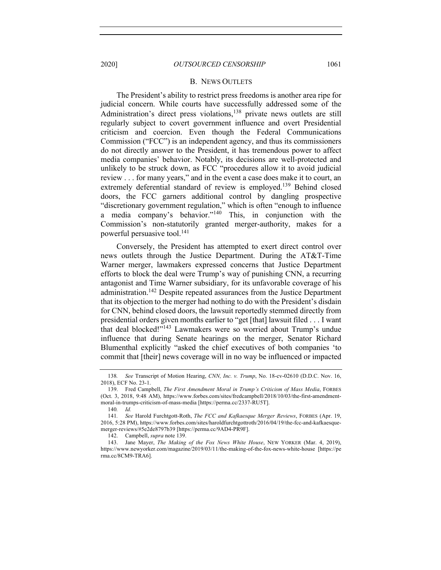#### B. NEWS OUTLETS

The President's ability to restrict press freedoms is another area ripe for judicial concern. While courts have successfully addressed some of the Administration's direct press violations,<sup>138</sup> private news outlets are still regularly subject to covert government influence and overt Presidential criticism and coercion. Even though the Federal Communications Commission ("FCC") is an independent agency, and thus its commissioners do not directly answer to the President, it has tremendous power to affect media companies' behavior. Notably, its decisions are well-protected and unlikely to be struck down, as FCC "procedures allow it to avoid judicial review . . . for many years," and in the event a case does make it to court, an extremely deferential standard of review is employed.<sup>139</sup> Behind closed doors, the FCC garners additional control by dangling prospective "discretionary government regulation," which is often "enough to influence a media company's behavior."<sup>140</sup> This, in conjunction with the Commission's non-statutorily granted merger-authority, makes for a powerful persuasive tool.<sup>141</sup>

Conversely, the President has attempted to exert direct control over news outlets through the Justice Department. During the AT&T-Time Warner merger, lawmakers expressed concerns that Justice Department efforts to block the deal were Trump's way of punishing CNN, a recurring antagonist and Time Warner subsidiary, for its unfavorable coverage of his administration.<sup>142</sup> Despite repeated assurances from the Justice Department that its objection to the merger had nothing to do with the President's disdain for CNN, behind closed doors, the lawsuit reportedly stemmed directly from presidential orders given months earlier to "get [that] lawsuit filed . . . I want that deal blocked!"143 Lawmakers were so worried about Trump's undue influence that during Senate hearings on the merger, Senator Richard Blumenthal explicitly "asked the chief executives of both companies 'to commit that [their] news coverage will in no way be influenced or impacted

<sup>138</sup>*. See* Transcript of Motion Hearing, *CNN, Inc. v. Trump*, No. 18-cv-02610 (D.D.C. Nov. 16, 2018), ECF No. 23-1.

<sup>139.</sup> Fred Campbell, *The First Amendment Moral in Trump's Criticism of Mass Media*, FORBES (Oct. 3, 2018, 9:48 AM), https://www.forbes.com/sites/fredcampbell/2018/10/03/the-first-amendmentmoral-in-trumps-criticism-of-mass-media [https://perma.cc/2337-RU5T].

<sup>140</sup>*. Id.*

<sup>141</sup>*. See* Harold Furchtgott-Roth, *The FCC and Kafkaesque Merger Reviews*, FORBES (Apr. 19, 2016, 5:28 PM), https://www.forbes.com/sites/haroldfurchtgottroth/2016/04/19/the-fcc-and-kafkaesquemerger-reviews/#5e2de8797b39 [https://perma.cc/9AD4-PR9F].

<sup>142.</sup> Campbell, *supra* note 139.

<sup>143.</sup> Jane Mayer, *The Making of the Fox News White House*, NEW YORKER (Mar. 4, 2019), https://www.newyorker.com/magazine/2019/03/11/the-making-of-the-fox-news-white-house [https://pe rma.cc/8CM9-TRA6].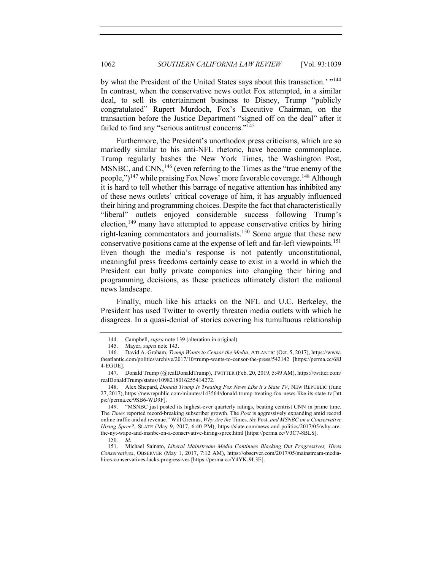by what the President of the United States says about this transaction.' "144 In contrast, when the conservative news outlet Fox attempted, in a similar deal, to sell its entertainment business to Disney, Trump "publicly congratulated" Rupert Murdoch, Fox's Executive Chairman, on the transaction before the Justice Department "signed off on the deal" after it failed to find any "serious antitrust concerns."<sup>145</sup>

Furthermore, the President's unorthodox press criticisms, which are so markedly similar to his anti-NFL rhetoric, have become commonplace. Trump regularly bashes the New York Times, the Washington Post, MSNBC, and CNN, $^{146}$  (even referring to the Times as the "true enemy of the people,")<sup>147</sup> while praising Fox News' more favorable coverage.<sup>148</sup> Although it is hard to tell whether this barrage of negative attention has inhibited any of these news outlets' critical coverage of him, it has arguably influenced their hiring and programming choices. Despite the fact that characteristically "liberal" outlets enjoyed considerable success following Trump's election,<sup>149</sup> many have attempted to appease conservative critics by hiring right-leaning commentators and journalists.150 Some argue that these new conservative positions came at the expense of left and far-left viewpoints.<sup>151</sup> Even though the media's response is not patently unconstitutional, meaningful press freedoms certainly cease to exist in a world in which the President can bully private companies into changing their hiring and programming decisions, as these practices ultimately distort the national news landscape.

Finally, much like his attacks on the NFL and U.C. Berkeley, the President has used Twitter to overtly threaten media outlets with which he disagrees. In a quasi-denial of stories covering his tumultuous relationship

<sup>144.</sup> Campbell, *supra* note 139 (alteration in original)*.*

<sup>145.</sup> Mayer, *supra* note 143.

<sup>146.</sup> David A. Graham, *Trump Wants to Censor the Media*, ATLANTIC (Oct. 5, 2017), https://www. theatlantic.com/politics/archive/2017/10/trump-wants-to-censor-the-press/542142 [https://perma.cc/68J 4-EGUE].

<sup>147.</sup> Donald Trump (@realDonaldTrump), TWITTER (Feb. 20, 2019, 5:49 AM), https://twitter.com/ realDonaldTrump/status/1098218016255414272.

<sup>148.</sup> Alex Shepard, *Donald Trump Is Treating Fox News Like it's State TV*, NEW REPUBLIC (June 27, 2017), https://newrepublic.com/minutes/143564/donald-trump-treating-fox-news-like-its-state-tv [htt ps://perma.cc/9SB6-WD9F].

<sup>149.</sup> "MSNBC just posted its highest-ever quarterly ratings, beating centrist CNN in prime time. The *Times* reported record-breaking subscriber growth. The *Post* is aggressively expanding amid record online traffic and ad revenue." Will Oremus, *Why Are the* Times*, the* Post*, and MSNBC on a Conservative Hiring Spree?*, SLATE (May 9, 2017, 6:40 PM), https://slate.com/news-and-politics/2017/05/why-arethe-nyt-wapo-and-msnbc-on-a-conservative-hiring-spree.html [https://perma.cc/V3C7-8BLS].

<sup>150</sup>*. Id.*

<sup>151.</sup> Michael Sainato, *Liberal Mainstream Media Continues Blacking Out Progressives, Hires Conservatives*, OBSERVER (May 1, 2017, 7:12 AM), https://observer.com/2017/05/mainstream-mediahires-conservatives-lacks-progressives [https://perma.cc/Y4YK-9L3E].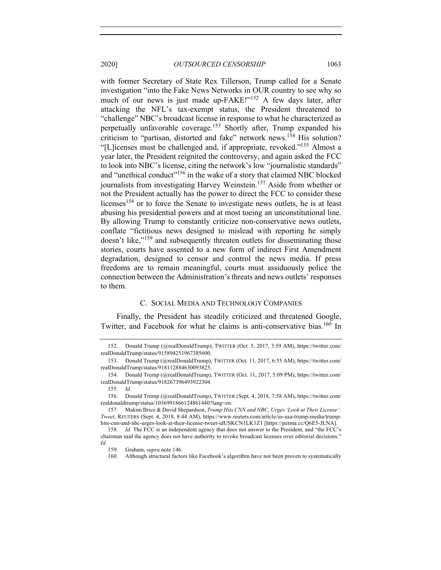with former Secretary of State Rex Tillerson, Trump called for a Senate investigation "into the Fake News Networks in OUR country to see why so much of our news is just made up-FAKE!"<sup>152</sup> A few days later, after attacking the NFL's tax-exempt status, the President threatened to "challenge" NBC's broadcast license in response to what he characterized as perpetually unfavorable coverage.153 Shortly after, Trump expanded his criticism to "partisan, distorted and fake" network news.<sup>154</sup> His solution? "[L]icenses must be challenged and, if appropriate, revoked."155 Almost a year later, the President reignited the controversy, and again asked the FCC to look into NBC's license, citing the network's low "journalistic standards" and "unethical conduct"156 in the wake of a story that claimed NBC blocked journalists from investigating Harvey Weinstein.<sup>157</sup> Aside from whether or not the President actually has the power to direct the FCC to consider these licenses<sup>158</sup> or to force the Senate to investigate news outlets, he is at least abusing his presidential powers and at most toeing an unconstitutional line. By allowing Trump to constantly criticize non-conservative news outlets, conflate "fictitious news designed to mislead with reporting he simply doesn't like,"<sup>159</sup> and subsequently threaten outlets for disseminating those stories, courts have assented to a new form of indirect First Amendment degradation, designed to censor and control the news media. If press freedoms are to remain meaningful, courts must assiduously police the connection between the Administration's threats and news outlets' responses to them.

# C. SOCIAL MEDIA AND TECHNOLOGY COMPANIES

Finally, the President has steadily criticized and threatened Google, Twitter, and Facebook for what he claims is anti-conservative bias.<sup>160</sup> In

<sup>152.</sup> Donald Trump (@realDonaldTrump), TWITTER (Oct. 5, 2017, 3:59 AM), https://twitter.com/ realDonaldTrump/status/915894251967385600.

<sup>153.</sup> Donald Trump (@realDonaldTrump), TWITTER (Oct. 11, 2017, 6:55 AM), https://twitter.com/ realDonaldTrump/status/918112884630093825.

<sup>154.</sup> Donald Trump (@realDonaldTrump), TWITTER (Oct. 11, 2017, 5:09 PM), https://twitter.com/ realDonaldTrump/status/918267396493922304.

<sup>155</sup>*. Id.*

<sup>156.</sup> Donald Trump (@realDonaldTrump), TWITTER (Sept. 4, 2018, 7:58 AM), https://twitter.com/ realdonaldtrump/status/1036991866124861440?lang=en.

<sup>157.</sup> Makini Brice & David Shepardson, *Trump Hits CNN and NBC, Urges 'Look at Their License': Tweet*, REUTERS (Sept. 4, 2018, 8:44 AM), https://www.reuters.com/article/us-usa-trump-media/trumphits-cnn-and-nbc-urges-look-at-their-license-tweet-idUSKCN1LK1Z1 [https://perma.cc/Q6E5-JLNA].

<sup>158</sup>*. Id.* The FCC is an independent agency that does not answer to the President, and "the FCC's chairman said the agency does not have authority to revoke broadcast licenses over editorial decisions." *Id.*

<sup>159.</sup> Graham, *supra* note 146.

<sup>160.</sup> Although structural factors like Facebook's algorithm have not been proven to systematically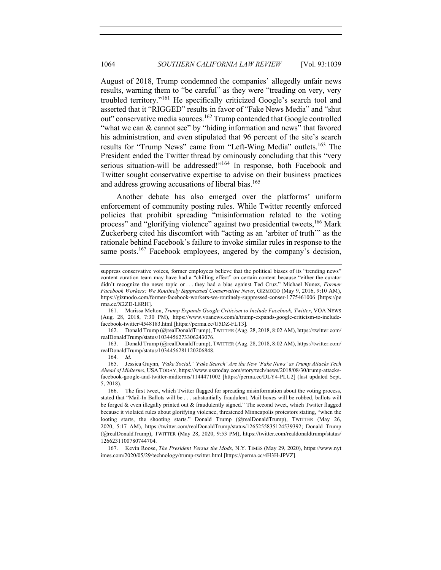August of 2018, Trump condemned the companies' allegedly unfair news results, warning them to "be careful" as they were "treading on very, very troubled territory."<sup>161</sup> He specifically criticized Google's search tool and asserted that it "RIGGED" results in favor of "Fake News Media" and "shut out" conservative media sources.<sup>162</sup> Trump contended that Google controlled "what we can & cannot see" by "hiding information and news" that favored his administration, and even stipulated that 96 percent of the site's search results for "Trump News" came from "Left-Wing Media" outlets.<sup>163</sup> The President ended the Twitter thread by ominously concluding that this "very serious situation-will be addressed!"<sup>164</sup> In response, both Facebook and Twitter sought conservative expertise to advise on their business practices and address growing accusations of liberal bias.<sup>165</sup>

Another debate has also emerged over the platforms' uniform enforcement of community posting rules. While Twitter recently enforced policies that prohibit spreading "misinformation related to the voting process" and "glorifying violence" against two presidential tweets,<sup>166</sup> Mark Zuckerberg cited his discomfort with "acting as an 'arbiter of truth'" as the rationale behind Facebook's failure to invoke similar rules in response to the same posts.<sup>167</sup> Facebook employees, angered by the company's decision,

162. Donald Trump (@realDonaldTrump), TWITTER (Aug. 28, 2018, 8:02 AM), https://twitter.com/ realDonaldTrump/status/1034456273306243076.

163. Donald Trump (@realDonaldTrump), TWITTER (Aug. 28, 2018, 8:02 AM), https://twitter.com/ realDonaldTrump/status/1034456281120206848.

suppress conservative voices, former employees believe that the political biases of its "trending news" content curation team may have had a "chilling effect" on certain content because "either the curator didn't recognize the news topic or . . . they had a bias against Ted Cruz." Michael Nunez, *Former Facebook Workers: We Routinely Suppressed Conservative News*, GIZMODO (May 9, 2016, 9:10 AM), https://gizmodo.com/former-facebook-workers-we-routinely-suppressed-conser-1775461006 [https://pe rma.cc/X2ZD-L8RH].

<sup>161.</sup> Marissa Melton, *Trump Expands Google Criticism to Include Facebook, Twitter*, VOA NEWS (Aug. 28, 2018, 7:30 PM), https://www.voanews.com/a/trump-expands-google-criticism-to-includefacebook-twitter/4548183.html [https://perma.cc/U5DZ-FLT3].

<sup>164</sup>*. Id.*

<sup>165.</sup> Jessica Guynn, *'Fake Social,' 'Fake Search' Are the New 'Fake News' as Trump Attacks Tech Ahead of Midterms*, USA TODAY, https://www.usatoday.com/story/tech/news/2018/08/30/trump-attacksfacebook-google-and-twitter-midterms/1144471002 [https://perma.cc/DLY4-PLU2] (last updated Sept. 5, 2018).

<sup>166.</sup> The first tweet, which Twitter flagged for spreading misinformation about the voting process, stated that "Mail-In Ballots will be . . . substantially fraudulent. Mail boxes will be robbed, ballots will be forged & even illegally printed out & fraudulently signed." The second tweet, which Twitter flagged because it violated rules about glorifying violence, threatened Minneapolis protestors stating, "when the looting starts, the shooting starts." Donald Trump (@realDonaldTrump), TWITTER (May 26, 2020, 5:17 AM), https://twitter.com/realDonaldTrump/status/1265255835124539392; Donald Trump (@realDonaldTrump), TWITTER (May 28, 2020, 9:53 PM), https://twitter.com/realdonaldtrump/status/ 1266231100780744704.

<sup>167.</sup> Kevin Roose, *The President Versus the Mods*, N.Y. TIMES (May 29, 2020), https://www.nyt imes.com/2020/05/29/technology/trump-twitter.html [https://perma.cc/4H3H-JPVZ].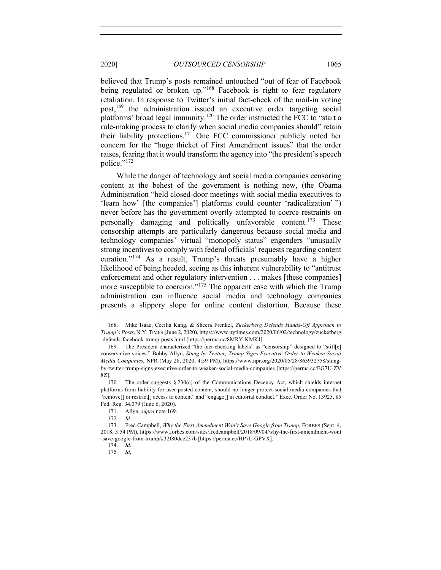believed that Trump's posts remained untouched "out of fear of Facebook being regulated or broken up."<sup>168</sup> Facebook is right to fear regulatory retaliation. In response to Twitter's initial fact-check of the mail-in voting post,<sup>169</sup> the administration issued an executive order targeting social platforms' broad legal immunity.<sup>170</sup> The order instructed the FCC to "start a rule-making process to clarify when social media companies should" retain their liability protections.171 One FCC commissioner publicly noted her concern for the "huge thicket of First Amendment issues" that the order raises, fearing that it would transform the agency into "the president's speech police."<sup>172</sup>

While the danger of technology and social media companies censoring content at the behest of the government is nothing new, (the Obama Administration "held closed-door meetings with social media executives to 'learn how' [the companies'] platforms could counter 'radicalization' ") never before has the government overtly attempted to coerce restraints on personally damaging and politically unfavorable content.<sup>173</sup> These censorship attempts are particularly dangerous because social media and technology companies' virtual "monopoly status" engenders "unusually strong incentives to comply with federal officials' requests regarding content curation."174 As a result, Trump's threats presumably have a higher likelihood of being heeded, seeing as this inherent vulnerability to "antitrust enforcement and other regulatory intervention . . . makes [these companies] more susceptible to coercion."<sup>175</sup> The apparent ease with which the Trump administration can influence social media and technology companies presents a slippery slope for online content distortion. Because these

<sup>168.</sup> Mike Isaac, Cecilia Kang, & Sheera Frenkel, *Zuckerberg Defends Hands-Off Approach to Trump's Posts*, N.Y. TIMES (June 2, 2020), https://www.nytimes.com/2020/06/02/technology/zuckerberg -defends-facebook-trump-posts.html [https://perma.cc/8MRY-KMKJ].

<sup>169.</sup> The President characterized "the fact-checking labels" as "censorship" designed to "stifl[e] conservative voices." Bobby Allyn, *Stung by Twitter, Trump Signs Executive Order to Weaken Social Media Companies*, NPR (May 28, 2020, 4:59 PM), https://www.npr.org/2020/05/28/863932758/stungby-twitter-trump-signs-executive-order-to-weaken-social-media-companies [https://perma.cc/EG7U-ZV 8Z].

<sup>170.</sup> The order suggests  $\S 230(c)$  of the Communications Decency Act, which shields internet platforms from liability for user-posted content, should no longer protect social media companies that "remove[] or restrict[] access to content" and "engage[] in editorial conduct." Exec. Order No. 13925, 85 Fed. Reg. 34,079 (June 6, 2020).

<sup>171.</sup> Allyn, *supra* note 169.

<sup>172.</sup> *Id.*

<sup>173.</sup> Fred Campbell, *Why the First Amendment Won't Save Google from Trump*, FORBES (Sept. 4, 2018, 3:54 PM), https://www.forbes.com/sites/fredcampbell/2018/09/04/why-the-first-amendment-wont -save-google-from-trump/#32f80dce237b [https://perma.cc/HP7L-GPVX].

<sup>174</sup>*. Id.*

<sup>175</sup>*. Id.*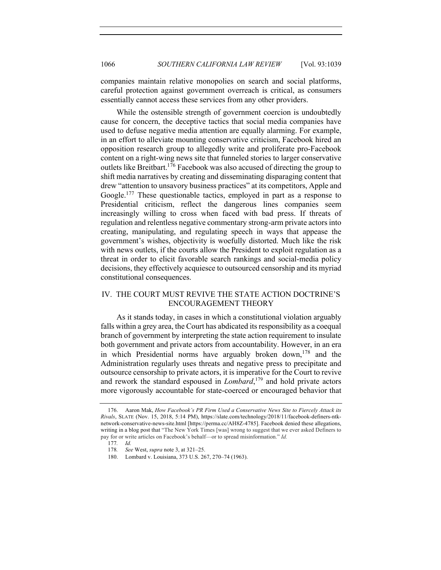companies maintain relative monopolies on search and social platforms, careful protection against government overreach is critical, as consumers essentially cannot access these services from any other providers.

While the ostensible strength of government coercion is undoubtedly cause for concern, the deceptive tactics that social media companies have used to defuse negative media attention are equally alarming. For example, in an effort to alleviate mounting conservative criticism, Facebook hired an opposition research group to allegedly write and proliferate pro-Facebook content on a right-wing news site that funneled stories to larger conservative outlets like Breitbart.176 Facebook was also accused of directing the group to shift media narratives by creating and disseminating disparaging content that drew "attention to unsavory business practices" at its competitors, Apple and Google.<sup>177</sup> These questionable tactics, employed in part as a response to Presidential criticism, reflect the dangerous lines companies seem increasingly willing to cross when faced with bad press. If threats of regulation and relentless negative commentary strong-arm private actors into creating, manipulating, and regulating speech in ways that appease the government's wishes, objectivity is woefully distorted. Much like the risk with news outlets, if the courts allow the President to exploit regulation as a threat in order to elicit favorable search rankings and social-media policy decisions, they effectively acquiesce to outsourced censorship and its myriad constitutional consequences.

# IV. THE COURT MUST REVIVE THE STATE ACTION DOCTRINE'S ENCOURAGEMENT THEORY

As it stands today, in cases in which a constitutional violation arguably falls within a grey area, the Court has abdicated its responsibility as a coequal branch of government by interpreting the state action requirement to insulate both government and private actors from accountability. However, in an era in which Presidential norms have arguably broken down,<sup>178</sup> and the Administration regularly uses threats and negative press to precipitate and outsource censorship to private actors, it is imperative for the Court to revive and rework the standard espoused in *Lombard*, <sup>179</sup> and hold private actors more vigorously accountable for state-coerced or encouraged behavior that

<sup>176.</sup> Aaron Mak, *How Facebook's PR Firm Used a Conservative News Site to Fiercely Attack its Rivals*, SLATE (Nov. 15, 2018, 5:14 PM), https://slate.com/technology/2018/11/facebook-definers-ntknetwork-conservative-news-site.html [https://perma.cc/AH8Z-4785]. Facebook denied these allegations, writing in a blog post that "The New York Times [was] wrong to suggest that we ever asked Definers to pay for or write articles on Facebook's behalf—or to spread misinformation." *Id.*

<sup>177</sup>*. Id.*

<sup>178</sup>*. See* West, *supra* note 3, at 321–25.

<sup>180.</sup> Lombard v. Louisiana, 373 U.S. 267, 270–74 (1963).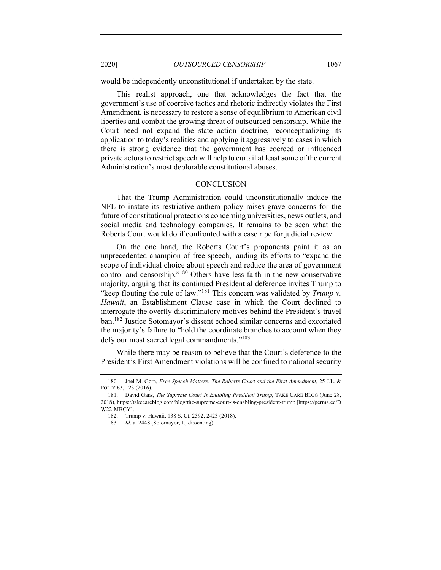would be independently unconstitutional if undertaken by the state.

This realist approach, one that acknowledges the fact that the government's use of coercive tactics and rhetoric indirectly violates the First Amendment, is necessary to restore a sense of equilibrium to American civil liberties and combat the growing threat of outsourced censorship. While the Court need not expand the state action doctrine, reconceptualizing its application to today's realities and applying it aggressively to cases in which there is strong evidence that the government has coerced or influenced private actors to restrict speech will help to curtail at least some of the current Administration's most deplorable constitutional abuses.

#### **CONCLUSION**

That the Trump Administration could unconstitutionally induce the NFL to instate its restrictive anthem policy raises grave concerns for the future of constitutional protections concerning universities, news outlets, and social media and technology companies. It remains to be seen what the Roberts Court would do if confronted with a case ripe for judicial review.

On the one hand, the Roberts Court's proponents paint it as an unprecedented champion of free speech, lauding its efforts to "expand the scope of individual choice about speech and reduce the area of government control and censorship."<sup>180</sup> Others have less faith in the new conservative majority, arguing that its continued Presidential deference invites Trump to "keep flouting the rule of law."181 This concern was validated by *Trump v. Hawaii*, an Establishment Clause case in which the Court declined to interrogate the overtly discriminatory motives behind the President's travel ban.<sup>182</sup> Justice Sotomayor's dissent echoed similar concerns and excoriated the majority's failure to "hold the coordinate branches to account when they defy our most sacred legal commandments."183

While there may be reason to believe that the Court's deference to the President's First Amendment violations will be confined to national security

<sup>180.</sup> Joel M. Gora, *Free Speech Matters: The Roberts Court and the First Amendment*, 25 J.L. & POL'Y 63, 123 (2016).

<sup>181.</sup> David Gans, *The Supreme Court Is Enabling President Trump*, TAKE CARE BLOG (June 28, 2018), https://takecareblog.com/blog/the-supreme-court-is-enabling-president-trump [https://perma.cc/D W22-MBCY].

<sup>182.</sup> Trump v. Hawaii, 138 S. Ct. 2392, 2423 (2018).

<sup>183</sup>*. Id.* at 2448 (Sotomayor, J., dissenting).